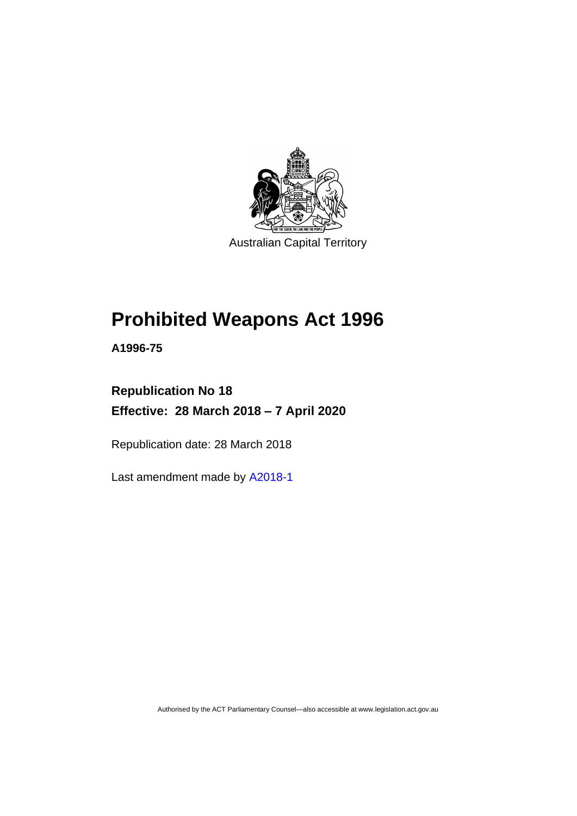

# **Prohibited Weapons Act 1996**

**A1996-75**

## **Republication No 18 Effective: 28 March 2018 – 7 April 2020**

Republication date: 28 March 2018

Last amendment made by [A2018-1](http://www.legislation.act.gov.au/a/2018-1/default.asp)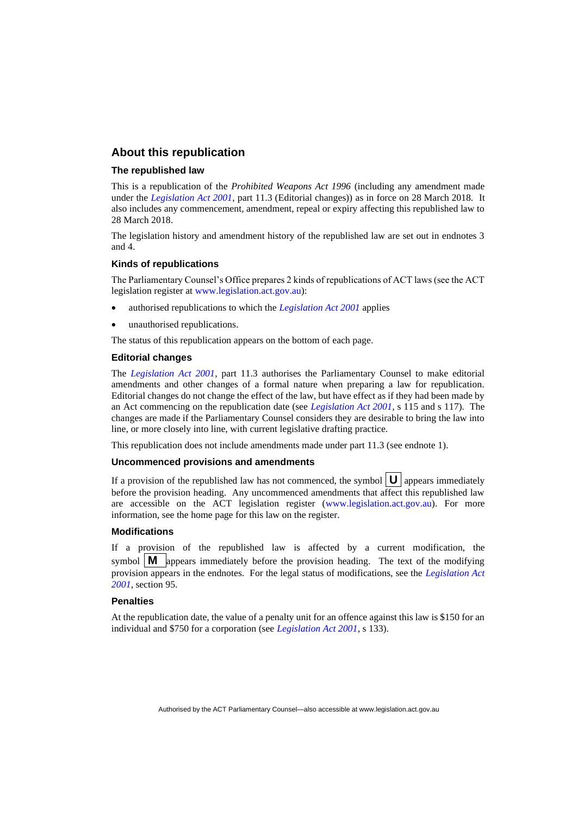### **About this republication**

#### **The republished law**

This is a republication of the *Prohibited Weapons Act 1996* (including any amendment made under the *[Legislation Act 2001](http://www.legislation.act.gov.au/a/2001-14)*, part 11.3 (Editorial changes)) as in force on 28 March 2018*.* It also includes any commencement, amendment, repeal or expiry affecting this republished law to 28 March 2018.

The legislation history and amendment history of the republished law are set out in endnotes 3 and 4.

#### **Kinds of republications**

The Parliamentary Counsel's Office prepares 2 kinds of republications of ACT laws (see the ACT legislation register at [www.legislation.act.gov.au\)](http://www.legislation.act.gov.au/):

- authorised republications to which the *[Legislation Act 2001](http://www.legislation.act.gov.au/a/2001-14)* applies
- unauthorised republications.

The status of this republication appears on the bottom of each page.

#### **Editorial changes**

The *[Legislation Act 2001](http://www.legislation.act.gov.au/a/2001-14)*, part 11.3 authorises the Parliamentary Counsel to make editorial amendments and other changes of a formal nature when preparing a law for republication. Editorial changes do not change the effect of the law, but have effect as if they had been made by an Act commencing on the republication date (see *[Legislation Act 2001](http://www.legislation.act.gov.au/a/2001-14)*, s 115 and s 117). The changes are made if the Parliamentary Counsel considers they are desirable to bring the law into line, or more closely into line, with current legislative drafting practice.

This republication does not include amendments made under part 11.3 (see endnote 1).

#### **Uncommenced provisions and amendments**

If a provision of the republished law has not commenced, the symbol  $\mathbf{U}$  appears immediately before the provision heading. Any uncommenced amendments that affect this republished law are accessible on the ACT legislation register [\(www.legislation.act.gov.au\)](http://www.legislation.act.gov.au/). For more information, see the home page for this law on the register.

#### **Modifications**

If a provision of the republished law is affected by a current modification, the symbol  $\mathbf{M}$  appears immediately before the provision heading. The text of the modifying provision appears in the endnotes. For the legal status of modifications, see the *[Legislation Act](http://www.legislation.act.gov.au/a/2001-14)  [2001](http://www.legislation.act.gov.au/a/2001-14)*, section 95.

#### **Penalties**

At the republication date, the value of a penalty unit for an offence against this law is \$150 for an individual and \$750 for a corporation (see *[Legislation Act 2001](http://www.legislation.act.gov.au/a/2001-14)*, s 133).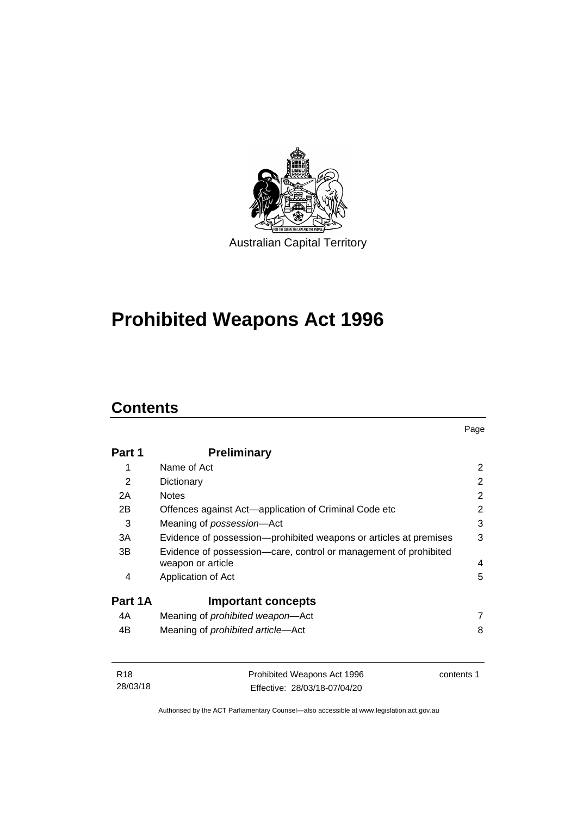

# **Prohibited Weapons Act 1996**

## **Contents**

| Part 1  | <b>Preliminary</b>                                                                    |   |
|---------|---------------------------------------------------------------------------------------|---|
| 1       | Name of Act                                                                           | 2 |
| 2       | Dictionary                                                                            | 2 |
| 2A      | <b>Notes</b>                                                                          | 2 |
| 2B      | Offences against Act-application of Criminal Code etc                                 | 2 |
| 3       | Meaning of <i>possession</i> —Act                                                     | 3 |
| 3A      | Evidence of possession—prohibited weapons or articles at premises                     | 3 |
| 3В.     | Evidence of possession-care, control or management of prohibited<br>weapon or article | 4 |
| 4       | Application of Act                                                                    | 5 |
| Part 1A | <b>Important concepts</b>                                                             |   |
| 4Α      | Meaning of <i>prohibited</i> weapon—Act                                               | 7 |
| 4B      | Meaning of <i>prohibited article</i> —Act                                             | 8 |
|         |                                                                                       |   |
|         |                                                                                       |   |

| R18      | Prohibited Weapons Act 1996  | contents 1 |
|----------|------------------------------|------------|
| 28/03/18 | Effective: 28/03/18-07/04/20 |            |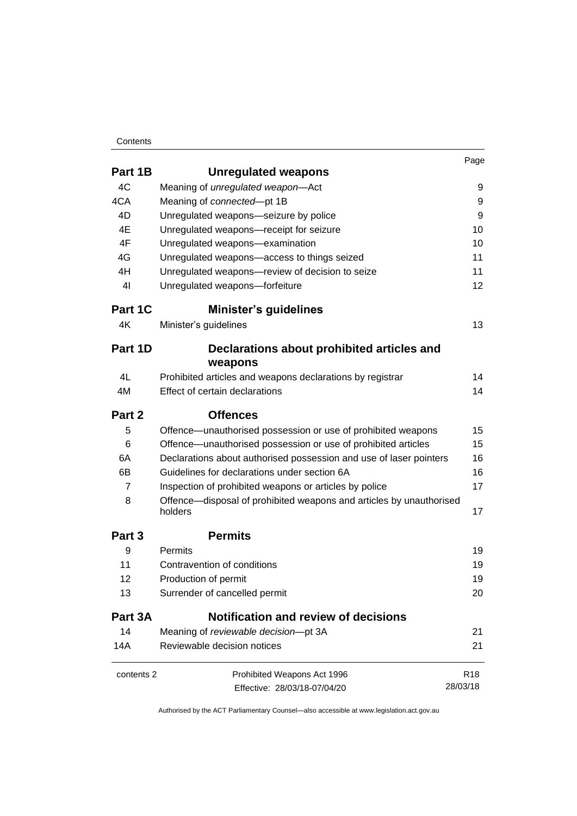#### **Contents**

|                |                                                                     | Page            |
|----------------|---------------------------------------------------------------------|-----------------|
| Part 1B        | <b>Unregulated weapons</b>                                          |                 |
| 4C             | Meaning of unregulated weapon-Act                                   | 9               |
| 4CA            | Meaning of connected-pt 1B                                          | 9               |
| 4D             | Unregulated weapons-seizure by police                               | 9               |
| 4E             | Unregulated weapons-receipt for seizure                             | 10              |
| 4F             | Unregulated weapons-examination                                     | 10              |
| 4G             | Unregulated weapons-access to things seized                         | 11              |
| 4H             | Unregulated weapons-review of decision to seize                     | 11              |
| 4 <sub>l</sub> | Unregulated weapons-forfeiture                                      | 12 <sup>2</sup> |
| Part 1C        | <b>Minister's guidelines</b>                                        |                 |
| 4K             | Minister's guidelines                                               | 13              |
| Part 1D        | Declarations about prohibited articles and                          |                 |
|                | weapons                                                             |                 |
| 4L             | Prohibited articles and weapons declarations by registrar           | 14              |
| 4M             | Effect of certain declarations                                      | 14              |
|                |                                                                     |                 |
| Part 2         | <b>Offences</b>                                                     |                 |
| 5              | Offence-unauthorised possession or use of prohibited weapons        | 15              |
| 6              | Offence-unauthorised possession or use of prohibited articles       | 15              |
| 6A             | Declarations about authorised possession and use of laser pointers  | 16              |
| 6B             | Guidelines for declarations under section 6A                        | 16              |
| $\overline{7}$ | Inspection of prohibited weapons or articles by police              | 17              |
| 8              | Offence—disposal of prohibited weapons and articles by unauthorised |                 |
|                | holders                                                             | 17              |
| Part 3         | <b>Permits</b>                                                      |                 |
| 9              | Permits                                                             | 19              |
| 11             | Contravention of conditions                                         | 19              |
| 12             | Production of permit                                                | 19              |
| 13             | Surrender of cancelled permit                                       | 20              |
| Part 3A        | <b>Notification and review of decisions</b>                         |                 |
| 14<br>14A      | Meaning of reviewable decision-pt 3A<br>Reviewable decision notices | 21<br>21        |

Authorised by the ACT Parliamentary Counsel—also accessible at www.legislation.act.gov.au

R18 28/03/18

Effective: 28/03/18-07/04/20

contents 2 Prohibited Weapons Act 1996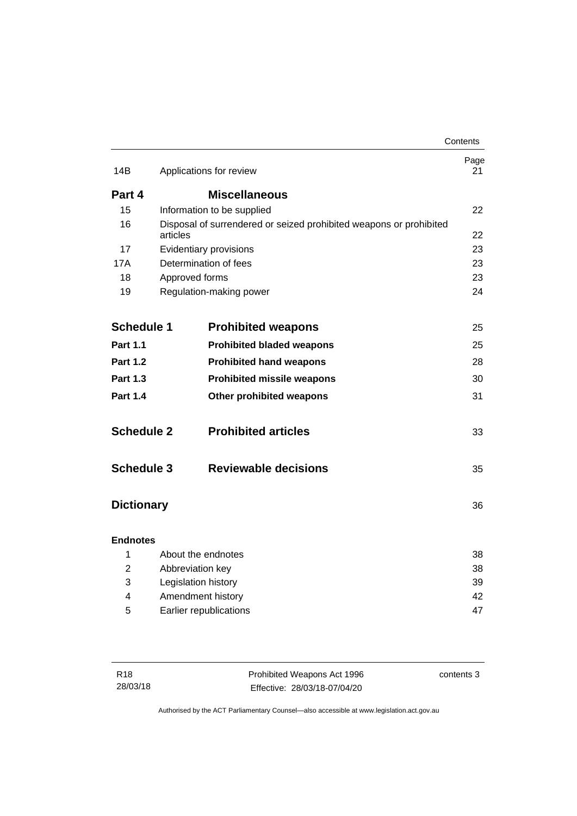|                   |                        |                                                                    | Contents   |
|-------------------|------------------------|--------------------------------------------------------------------|------------|
| 14B               |                        | Applications for review                                            | Page<br>21 |
| Part 4            |                        | <b>Miscellaneous</b>                                               |            |
| 15                |                        | Information to be supplied                                         | 22         |
| 16                | articles               | Disposal of surrendered or seized prohibited weapons or prohibited | 22         |
| 17                |                        | Evidentiary provisions                                             | 23         |
| 17A               |                        | Determination of fees                                              | 23         |
| 18                |                        | Approved forms                                                     | 23         |
| 19                |                        | Regulation-making power                                            | 24         |
| <b>Schedule 1</b> |                        | <b>Prohibited weapons</b>                                          | 25         |
| <b>Part 1.1</b>   |                        | <b>Prohibited bladed weapons</b>                                   | 25         |
|                   |                        |                                                                    |            |
| <b>Part 1.2</b>   |                        | <b>Prohibited hand weapons</b>                                     | 28         |
| <b>Part 1.3</b>   |                        | <b>Prohibited missile weapons</b>                                  | 30         |
| <b>Part 1.4</b>   |                        | Other prohibited weapons                                           | 31         |
| <b>Schedule 2</b> |                        | <b>Prohibited articles</b>                                         | 33         |
| <b>Schedule 3</b> |                        | <b>Reviewable decisions</b>                                        | 35         |
| <b>Dictionary</b> |                        |                                                                    | 36         |
| <b>Endnotes</b>   |                        |                                                                    |            |
| 1                 |                        | About the endnotes                                                 | 38         |
| $\overline{2}$    |                        | Abbreviation key                                                   | 38         |
| 3                 |                        | Legislation history                                                | 39         |
| 4                 |                        | Amendment history                                                  | 42         |
| 5                 | Earlier republications |                                                                    | 47         |

| R18      | Prohibited Weapons Act 1996  | contents 3 |
|----------|------------------------------|------------|
| 28/03/18 | Effective: 28/03/18-07/04/20 |            |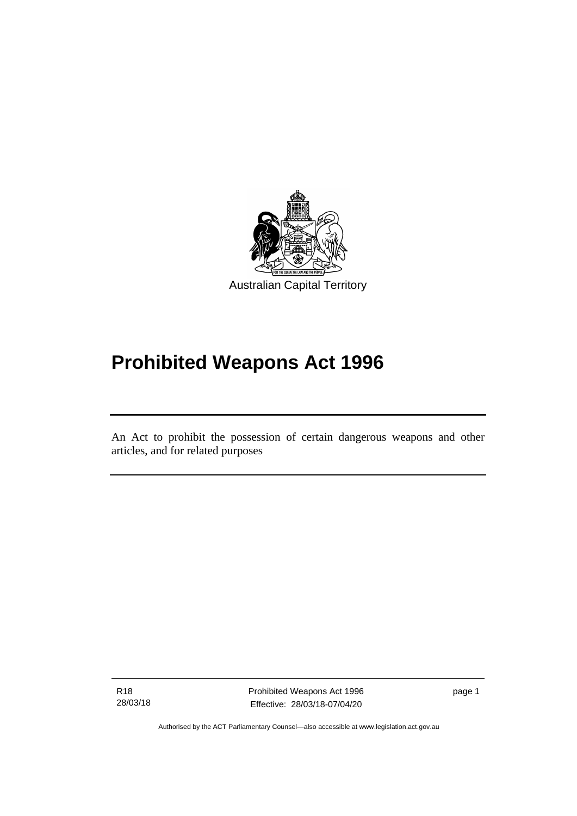

# **Prohibited Weapons Act 1996**

An Act to prohibit the possession of certain dangerous weapons and other articles, and for related purposes

R18 28/03/18

ׅ֖֖֚֚֡֡֬֝֬

page 1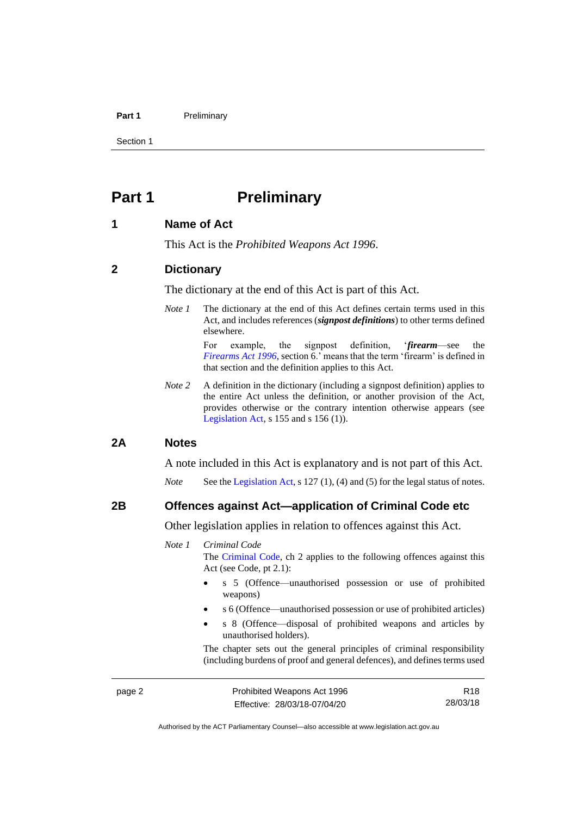#### **Part 1** Preliminary

Section 1

## <span id="page-7-0"></span>**Part 1 Preliminary**

### <span id="page-7-1"></span>**1 Name of Act**

This Act is the *Prohibited Weapons Act 1996*.

#### <span id="page-7-2"></span>**2 Dictionary**

The dictionary at the end of this Act is part of this Act.

*Note 1* The dictionary at the end of this Act defines certain terms used in this Act, and includes references (*signpost definitions*) to other terms defined elsewhere.

> For example, the signpost definition, '*firearm*—see the *[Firearms](http://www.legislation.act.gov.au/a/1996-74) Act 1996*, section 6.' means that the term 'firearm' is defined in that section and the definition applies to this Act.

*Note* 2 A definition in the dictionary (including a signpost definition) applies to the entire Act unless the definition, or another provision of the Act, provides otherwise or the contrary intention otherwise appears (see [Legislation Act,](http://www.legislation.act.gov.au/a/2001-14) s  $155$  and s  $156$  (1)).

#### <span id="page-7-3"></span>**2A Notes**

A note included in this Act is explanatory and is not part of this Act.

*Note* See the [Legislation Act,](http://www.legislation.act.gov.au/a/2001-14) s 127 (1), (4) and (5) for the legal status of notes.

#### <span id="page-7-4"></span>**2B Offences against Act—application of Criminal Code etc**

Other legislation applies in relation to offences against this Act.

#### *Note 1 Criminal Code*

The [Criminal Code,](http://www.legislation.act.gov.au/a/2002-51) ch 2 applies to the following offences against this Act (see Code, pt 2.1):

- s 5 (Offence—unauthorised possession or use of prohibited weapons)
- s 6 (Offence—unauthorised possession or use of prohibited articles)
- s 8 (Offence—disposal of prohibited weapons and articles by unauthorised holders).

The chapter sets out the general principles of criminal responsibility (including burdens of proof and general defences), and defines terms used

page 2 Prohibited Weapons Act 1996 Effective: 28/03/18-07/04/20

R18 28/03/18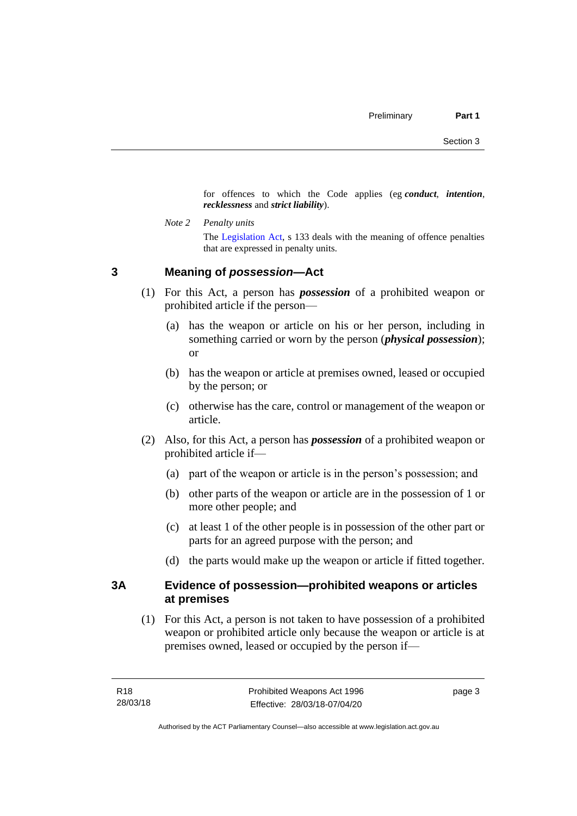for offences to which the Code applies (eg *conduct*, *intention*, *recklessness* and *strict liability*).

*Note 2 Penalty units* The [Legislation Act,](http://www.legislation.act.gov.au/a/2001-14) s 133 deals with the meaning of offence penalties that are expressed in penalty units.

## <span id="page-8-0"></span>**3 Meaning of** *possession***—Act**

- (1) For this Act, a person has *possession* of a prohibited weapon or prohibited article if the person—
	- (a) has the weapon or article on his or her person, including in something carried or worn by the person (*physical possession*); or
	- (b) has the weapon or article at premises owned, leased or occupied by the person; or
	- (c) otherwise has the care, control or management of the weapon or article.
- (2) Also, for this Act, a person has *possession* of a prohibited weapon or prohibited article if—
	- (a) part of the weapon or article is in the person's possession; and
	- (b) other parts of the weapon or article are in the possession of 1 or more other people; and
	- (c) at least 1 of the other people is in possession of the other part or parts for an agreed purpose with the person; and
	- (d) the parts would make up the weapon or article if fitted together.

## <span id="page-8-1"></span>**3A Evidence of possession—prohibited weapons or articles at premises**

(1) For this Act, a person is not taken to have possession of a prohibited weapon or prohibited article only because the weapon or article is at premises owned, leased or occupied by the person if—

page 3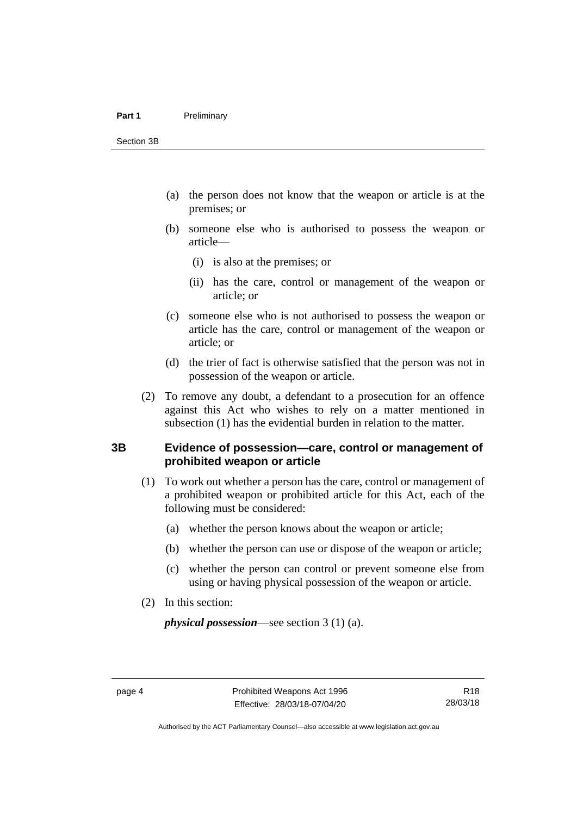#### **Part 1** Preliminary

Section 3B

- (a) the person does not know that the weapon or article is at the premises; or
- (b) someone else who is authorised to possess the weapon or article—
	- (i) is also at the premises; or
	- (ii) has the care, control or management of the weapon or article; or
- (c) someone else who is not authorised to possess the weapon or article has the care, control or management of the weapon or article; or
- (d) the trier of fact is otherwise satisfied that the person was not in possession of the weapon or article.
- (2) To remove any doubt, a defendant to a prosecution for an offence against this Act who wishes to rely on a matter mentioned in subsection (1) has the evidential burden in relation to the matter.

## <span id="page-9-0"></span>**3B Evidence of possession—care, control or management of prohibited weapon or article**

- (1) To work out whether a person has the care, control or management of a prohibited weapon or prohibited article for this Act, each of the following must be considered:
	- (a) whether the person knows about the weapon or article;
	- (b) whether the person can use or dispose of the weapon or article;
	- (c) whether the person can control or prevent someone else from using or having physical possession of the weapon or article.
- (2) In this section:

*physical possession*—see section 3 (1) (a).

Authorised by the ACT Parliamentary Counsel—also accessible at www.legislation.act.gov.au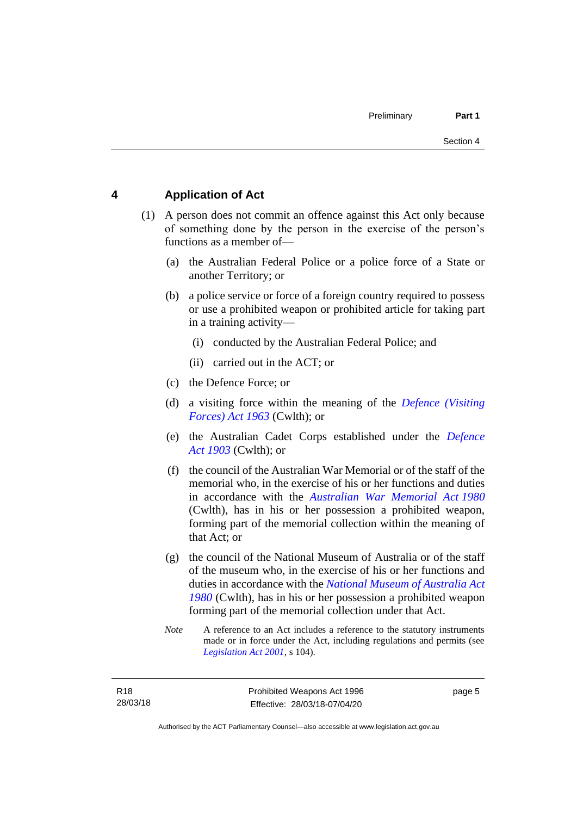## <span id="page-10-0"></span>**4 Application of Act**

- (1) A person does not commit an offence against this Act only because of something done by the person in the exercise of the person's functions as a member of—
	- (a) the Australian Federal Police or a police force of a State or another Territory; or
	- (b) a police service or force of a foreign country required to possess or use a prohibited weapon or prohibited article for taking part in a training activity—
		- (i) conducted by the Australian Federal Police; and
		- (ii) carried out in the ACT; or
	- (c) the Defence Force; or
	- (d) a visiting force within the meaning of the *[Defence \(Visiting](http://www.comlaw.gov.au/Series/C1963A00081)  [Forces\) Act 1963](http://www.comlaw.gov.au/Series/C1963A00081)* (Cwlth); or
	- (e) the Australian Cadet Corps established under the *[Defence](http://www.comlaw.gov.au/Series/C1903A00020)  Act [1903](http://www.comlaw.gov.au/Series/C1903A00020)* (Cwlth); or
	- (f) the council of the Australian War Memorial or of the staff of the memorial who, in the exercise of his or her functions and duties in accordance with the *[Australian War Memorial Act](http://www.comlaw.gov.au/Series/C2004A02305) 1980* (Cwlth), has in his or her possession a prohibited weapon, forming part of the memorial collection within the meaning of that Act; or
	- (g) the council of the National Museum of Australia or of the staff of the museum who, in the exercise of his or her functions and duties in accordance with the *[National Museum of Australia Act](http://www.comlaw.gov.au/Series/C2004A02316)  [1980](http://www.comlaw.gov.au/Series/C2004A02316)* (Cwlth), has in his or her possession a prohibited weapon forming part of the memorial collection under that Act.
	- *Note* A reference to an Act includes a reference to the statutory instruments made or in force under the Act, including regulations and permits (see *[Legislation Act 2001](http://www.legislation.act.gov.au/a/2001-14)*, s 104).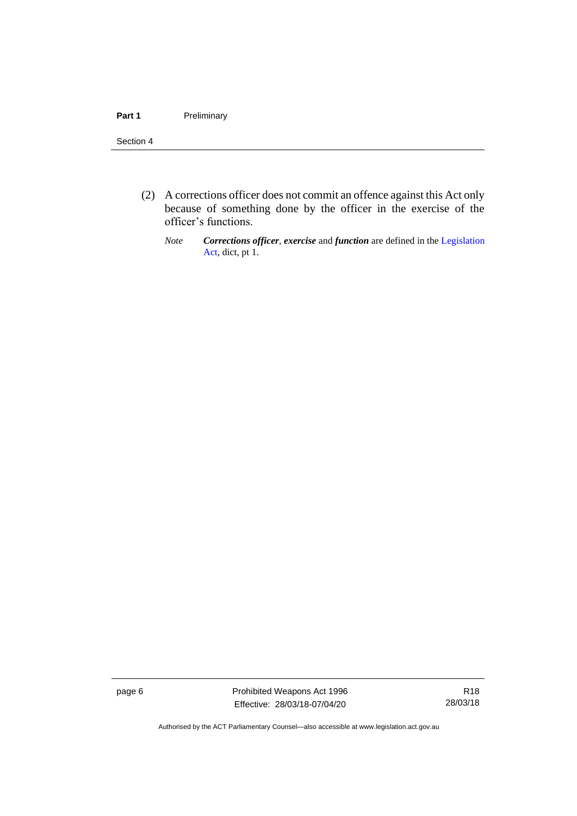#### Part 1 **Preliminary**

Section 4

- (2) A corrections officer does not commit an offence against this Act only because of something done by the officer in the exercise of the officer's functions.
	- *Note Corrections officer*, *exercise* and *function* are defined in the [Legislation](http://www.legislation.act.gov.au/a/2001-14)  [Act,](http://www.legislation.act.gov.au/a/2001-14) dict, pt 1.

page 6 **Prohibited Weapons Act 1996** Effective: 28/03/18-07/04/20

R18 28/03/18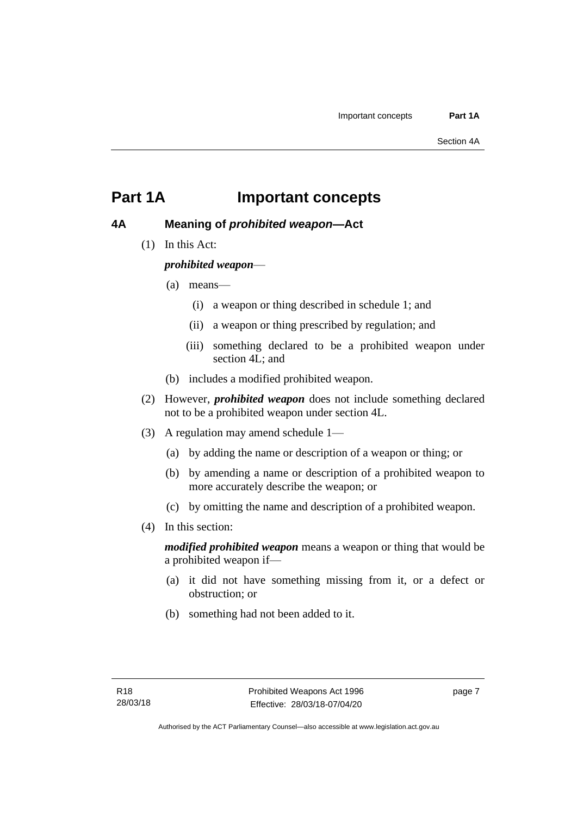## <span id="page-12-0"></span>**Part 1A Important concepts**

## <span id="page-12-1"></span>**4A Meaning of** *prohibited weapon***—Act**

(1) In this Act:

## *prohibited weapon*—

- (a) means—
	- (i) a weapon or thing described in schedule 1; and
	- (ii) a weapon or thing prescribed by regulation; and
	- (iii) something declared to be a prohibited weapon under section 4L; and
- (b) includes a modified prohibited weapon.
- (2) However, *prohibited weapon* does not include something declared not to be a prohibited weapon under section 4L.
- (3) A regulation may amend schedule 1—
	- (a) by adding the name or description of a weapon or thing; or
	- (b) by amending a name or description of a prohibited weapon to more accurately describe the weapon; or
	- (c) by omitting the name and description of a prohibited weapon.
- (4) In this section:

*modified prohibited weapon* means a weapon or thing that would be a prohibited weapon if—

- (a) it did not have something missing from it, or a defect or obstruction; or
- (b) something had not been added to it.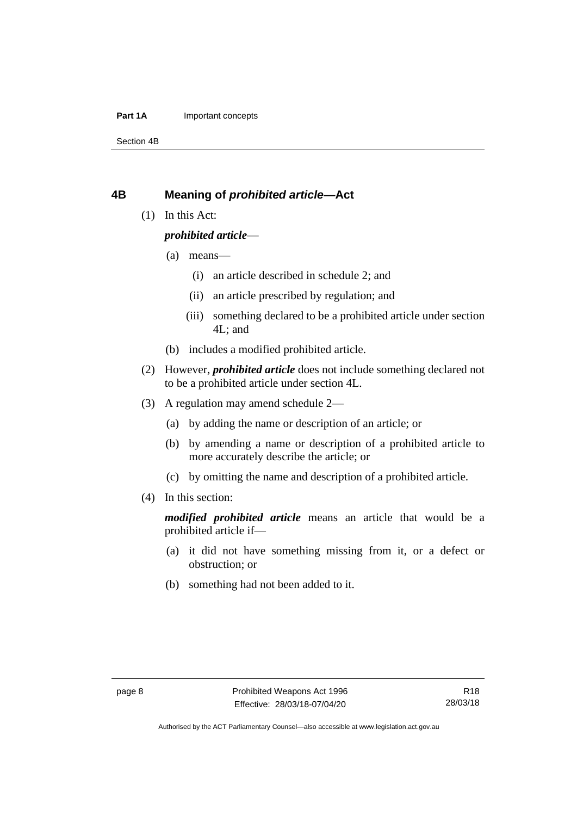#### **Part 1A** Important concepts

Section 4B

## <span id="page-13-0"></span>**4B Meaning of** *prohibited article***—Act**

(1) In this Act:

### *prohibited article*—

- (a) means—
	- (i) an article described in schedule 2; and
	- (ii) an article prescribed by regulation; and
	- (iii) something declared to be a prohibited article under section 4L; and
- (b) includes a modified prohibited article.
- (2) However, *prohibited article* does not include something declared not to be a prohibited article under section 4L.
- (3) A regulation may amend schedule 2—
	- (a) by adding the name or description of an article; or
	- (b) by amending a name or description of a prohibited article to more accurately describe the article; or
	- (c) by omitting the name and description of a prohibited article.
- (4) In this section:

*modified prohibited article* means an article that would be a prohibited article if—

- (a) it did not have something missing from it, or a defect or obstruction; or
- (b) something had not been added to it.

Authorised by the ACT Parliamentary Counsel—also accessible at www.legislation.act.gov.au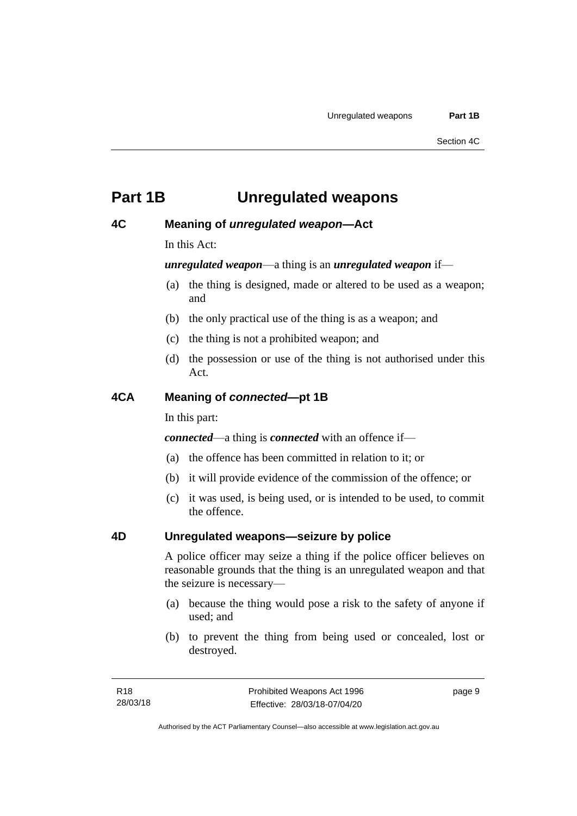## <span id="page-14-0"></span>**Part 1B Unregulated weapons**

### <span id="page-14-1"></span>**4C Meaning of** *unregulated weapon***—Act**

In this Act:

*unregulated weapon*—a thing is an *unregulated weapon* if—

- (a) the thing is designed, made or altered to be used as a weapon; and
- (b) the only practical use of the thing is as a weapon; and
- (c) the thing is not a prohibited weapon; and
- (d) the possession or use of the thing is not authorised under this Act.

## <span id="page-14-2"></span>**4CA Meaning of** *connected***—pt 1B**

In this part:

*connected*—a thing is *connected* with an offence if—

- (a) the offence has been committed in relation to it; or
- (b) it will provide evidence of the commission of the offence; or
- (c) it was used, is being used, or is intended to be used, to commit the offence.

<span id="page-14-3"></span>**4D Unregulated weapons—seizure by police**

A police officer may seize a thing if the police officer believes on reasonable grounds that the thing is an unregulated weapon and that the seizure is necessary—

- (a) because the thing would pose a risk to the safety of anyone if used; and
- (b) to prevent the thing from being used or concealed, lost or destroyed.

page 9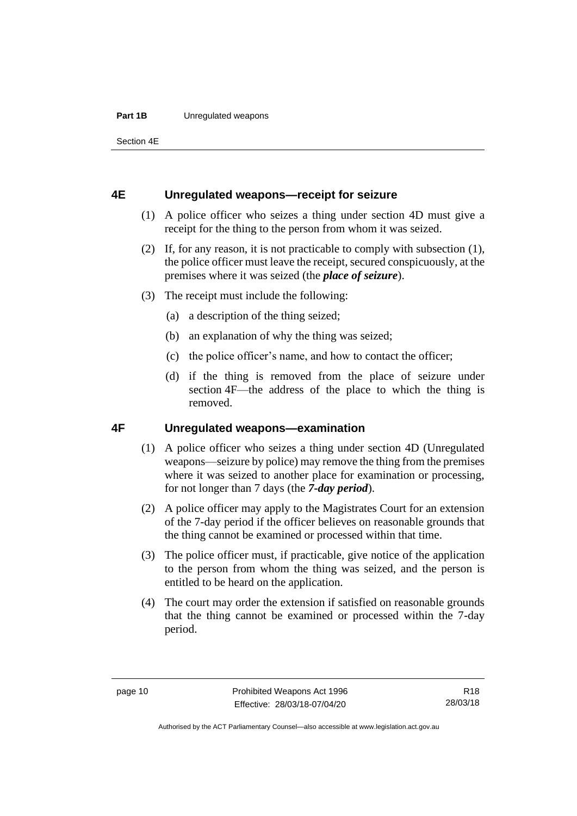#### **Part 1B** Unregulated weapons

Section 4E

### <span id="page-15-0"></span>**4E Unregulated weapons—receipt for seizure**

- (1) A police officer who seizes a thing under section 4D must give a receipt for the thing to the person from whom it was seized.
- (2) If, for any reason, it is not practicable to comply with subsection (1), the police officer must leave the receipt, secured conspicuously, at the premises where it was seized (the *place of seizure*).
- (3) The receipt must include the following:
	- (a) a description of the thing seized;
	- (b) an explanation of why the thing was seized;
	- (c) the police officer's name, and how to contact the officer;
	- (d) if the thing is removed from the place of seizure under section 4F—the address of the place to which the thing is removed.

### <span id="page-15-1"></span>**4F Unregulated weapons—examination**

- (1) A police officer who seizes a thing under section 4D (Unregulated weapons—seizure by police) may remove the thing from the premises where it was seized to another place for examination or processing, for not longer than 7 days (the *7-day period*).
- (2) A police officer may apply to the Magistrates Court for an extension of the 7-day period if the officer believes on reasonable grounds that the thing cannot be examined or processed within that time.
- (3) The police officer must, if practicable, give notice of the application to the person from whom the thing was seized, and the person is entitled to be heard on the application.
- (4) The court may order the extension if satisfied on reasonable grounds that the thing cannot be examined or processed within the 7-day period.

Authorised by the ACT Parliamentary Counsel—also accessible at www.legislation.act.gov.au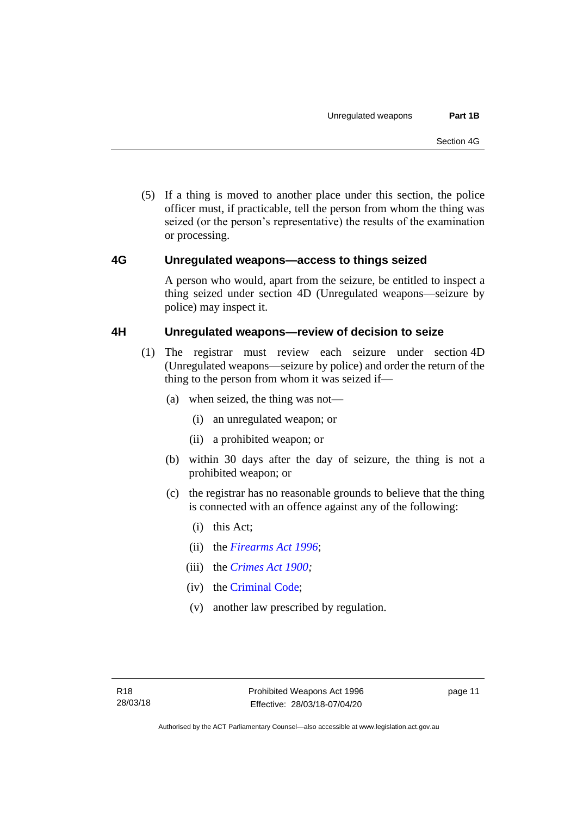(5) If a thing is moved to another place under this section, the police officer must, if practicable, tell the person from whom the thing was seized (or the person's representative) the results of the examination or processing.

## <span id="page-16-0"></span>**4G Unregulated weapons—access to things seized**

A person who would, apart from the seizure, be entitled to inspect a thing seized under section 4D (Unregulated weapons—seizure by police) may inspect it.

## <span id="page-16-1"></span>**4H Unregulated weapons—review of decision to seize**

- (1) The registrar must review each seizure under section 4D (Unregulated weapons—seizure by police) and order the return of the thing to the person from whom it was seized if—
	- (a) when seized, the thing was not—
		- (i) an unregulated weapon; or
		- (ii) a prohibited weapon; or
	- (b) within 30 days after the day of seizure, the thing is not a prohibited weapon; or
	- (c) the registrar has no reasonable grounds to believe that the thing is connected with an offence against any of the following:
		- (i) this Act;
		- (ii) the *[Firearms Act 1996](http://www.legislation.act.gov.au/a/1996-74)*;
		- (iii) the *[Crimes Act 1900;](http://www.legislation.act.gov.au/a/1900-40)*
		- (iv) the [Criminal Code;](http://www.legislation.act.gov.au/a/2002-51)
		- (v) another law prescribed by regulation.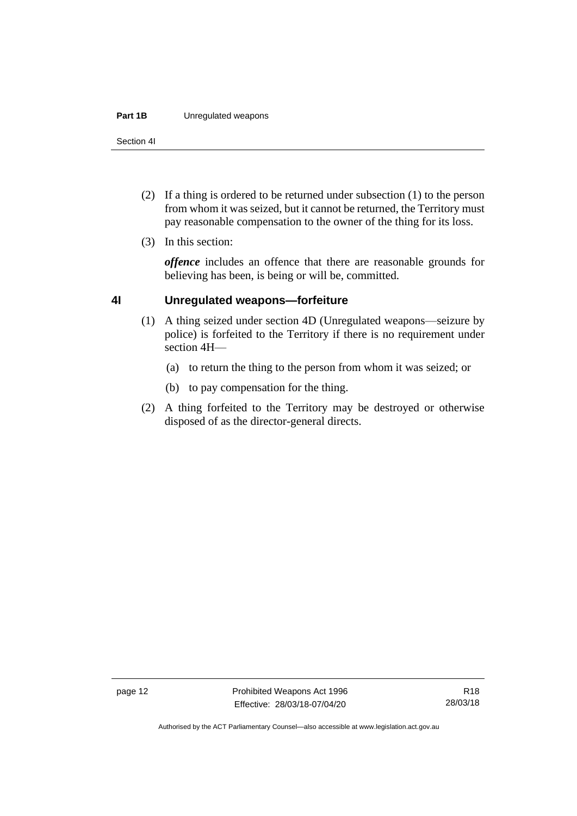#### **Part 1B** Unregulated weapons

Section 4I

- (2) If a thing is ordered to be returned under subsection (1) to the person from whom it was seized, but it cannot be returned, the Territory must pay reasonable compensation to the owner of the thing for its loss.
- (3) In this section:

*offence* includes an offence that there are reasonable grounds for believing has been, is being or will be, committed.

### <span id="page-17-0"></span>**4I Unregulated weapons—forfeiture**

- (1) A thing seized under section 4D (Unregulated weapons—seizure by police) is forfeited to the Territory if there is no requirement under section 4H—
	- (a) to return the thing to the person from whom it was seized; or
	- (b) to pay compensation for the thing.
- (2) A thing forfeited to the Territory may be destroyed or otherwise disposed of as the director-general directs.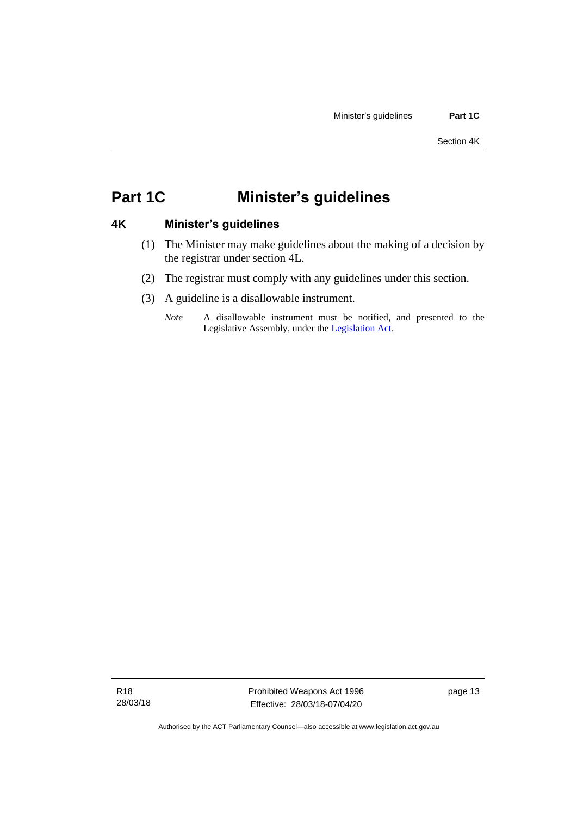## <span id="page-18-0"></span>**Part 1C Minister's guidelines**

## <span id="page-18-1"></span>**4K Minister's guidelines**

- (1) The Minister may make guidelines about the making of a decision by the registrar under section 4L.
- (2) The registrar must comply with any guidelines under this section.
- (3) A guideline is a disallowable instrument.
	- *Note* A disallowable instrument must be notified, and presented to the Legislative Assembly, under the [Legislation Act.](http://www.legislation.act.gov.au/a/2001-14)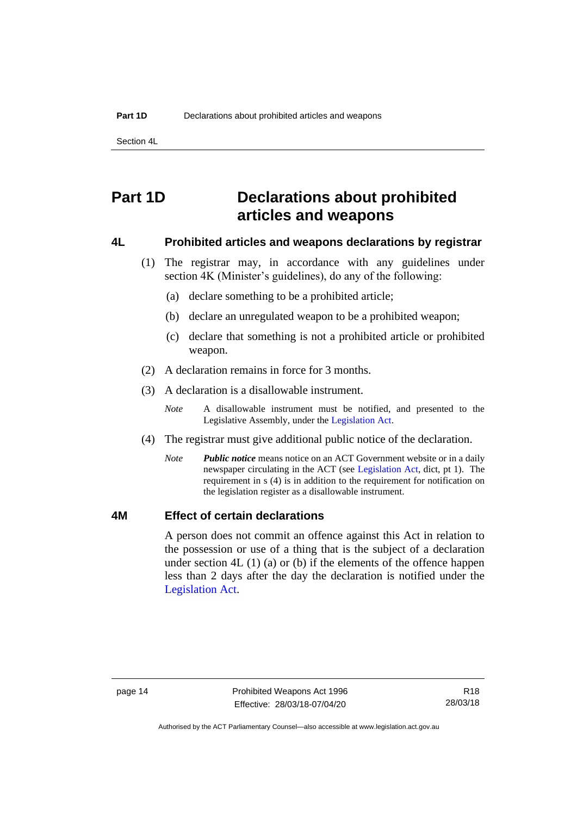Section 4L

## <span id="page-19-0"></span>**Part 1D Declarations about prohibited articles and weapons**

### <span id="page-19-1"></span>**4L Prohibited articles and weapons declarations by registrar**

- (1) The registrar may, in accordance with any guidelines under section 4K (Minister's guidelines), do any of the following:
	- (a) declare something to be a prohibited article;
	- (b) declare an unregulated weapon to be a prohibited weapon;
	- (c) declare that something is not a prohibited article or prohibited weapon.
- (2) A declaration remains in force for 3 months.
- (3) A declaration is a disallowable instrument.
	- *Note* A disallowable instrument must be notified, and presented to the Legislative Assembly, under the [Legislation Act.](http://www.legislation.act.gov.au/a/2001-14)
- (4) The registrar must give additional public notice of the declaration.
	- *Note Public notice* means notice on an ACT Government website or in a daily newspaper circulating in the ACT (see [Legislation Act,](http://www.legislation.act.gov.au/a/2001-14) dict, pt 1). The requirement in s (4) is in addition to the requirement for notification on the legislation register as a disallowable instrument.

### <span id="page-19-2"></span>**4M Effect of certain declarations**

A person does not commit an offence against this Act in relation to the possession or use of a thing that is the subject of a declaration under section 4L (1) (a) or (b) if the elements of the offence happen less than 2 days after the day the declaration is notified under the [Legislation Act.](http://www.legislation.act.gov.au/a/2001-14)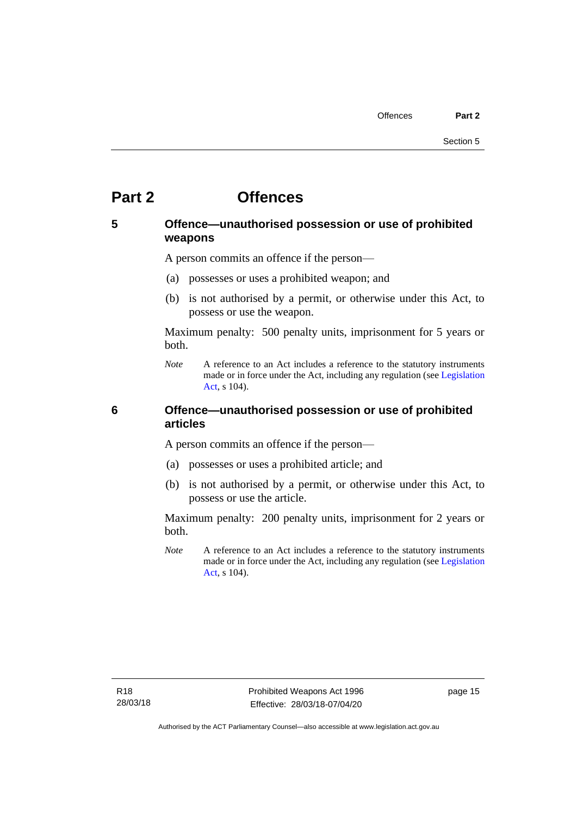## <span id="page-20-0"></span>**Part 2 Offences**

## <span id="page-20-1"></span>**5 Offence—unauthorised possession or use of prohibited weapons**

A person commits an offence if the person—

- (a) possesses or uses a prohibited weapon; and
- (b) is not authorised by a permit, or otherwise under this Act, to possess or use the weapon.

Maximum penalty: 500 penalty units, imprisonment for 5 years or both.

*Note* A reference to an Act includes a reference to the statutory instruments made or in force under the Act, including any regulation (se[e Legislation](http://www.legislation.act.gov.au/a/2001-14)  [Act,](http://www.legislation.act.gov.au/a/2001-14) s 104).

### <span id="page-20-2"></span>**6 Offence—unauthorised possession or use of prohibited articles**

A person commits an offence if the person—

- (a) possesses or uses a prohibited article; and
- (b) is not authorised by a permit, or otherwise under this Act, to possess or use the article.

Maximum penalty: 200 penalty units, imprisonment for 2 years or both.

*Note* A reference to an Act includes a reference to the statutory instruments made or in force under the Act, including any regulation (se[e Legislation](http://www.legislation.act.gov.au/a/2001-14)  [Act,](http://www.legislation.act.gov.au/a/2001-14) s 104).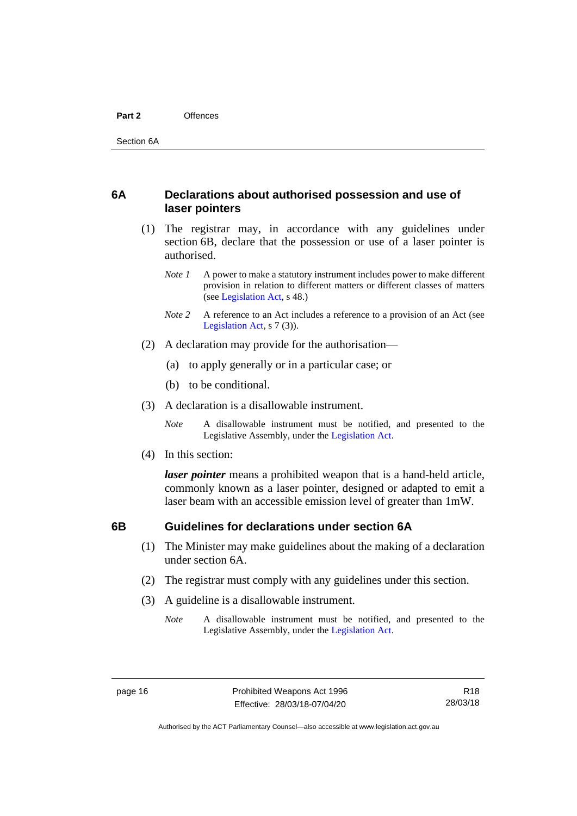#### **Part 2** Offences

## <span id="page-21-0"></span>**6A Declarations about authorised possession and use of laser pointers**

- (1) The registrar may, in accordance with any guidelines under section 6B, declare that the possession or use of a laser pointer is authorised.
	- *Note 1* A power to make a statutory instrument includes power to make different provision in relation to different matters or different classes of matters (se[e Legislation Act,](http://www.legislation.act.gov.au/a/2001-14) s 48.)
	- *Note 2* A reference to an Act includes a reference to a provision of an Act (see [Legislation Act,](http://www.legislation.act.gov.au/a/2001-14) s 7 (3)).
- (2) A declaration may provide for the authorisation—
	- (a) to apply generally or in a particular case; or
	- (b) to be conditional.
- (3) A declaration is a disallowable instrument.

*Note* A disallowable instrument must be notified, and presented to the Legislative Assembly, under the [Legislation Act.](http://www.legislation.act.gov.au/a/2001-14)

(4) In this section:

*laser pointer* means a prohibited weapon that is a hand-held article, commonly known as a laser pointer, designed or adapted to emit a laser beam with an accessible emission level of greater than 1mW.

### <span id="page-21-1"></span>**6B Guidelines for declarations under section 6A**

- (1) The Minister may make guidelines about the making of a declaration under section 6A.
- (2) The registrar must comply with any guidelines under this section.
- (3) A guideline is a disallowable instrument.
	- *Note* A disallowable instrument must be notified, and presented to the Legislative Assembly, under the [Legislation Act.](http://www.legislation.act.gov.au/a/2001-14)

Authorised by the ACT Parliamentary Counsel—also accessible at www.legislation.act.gov.au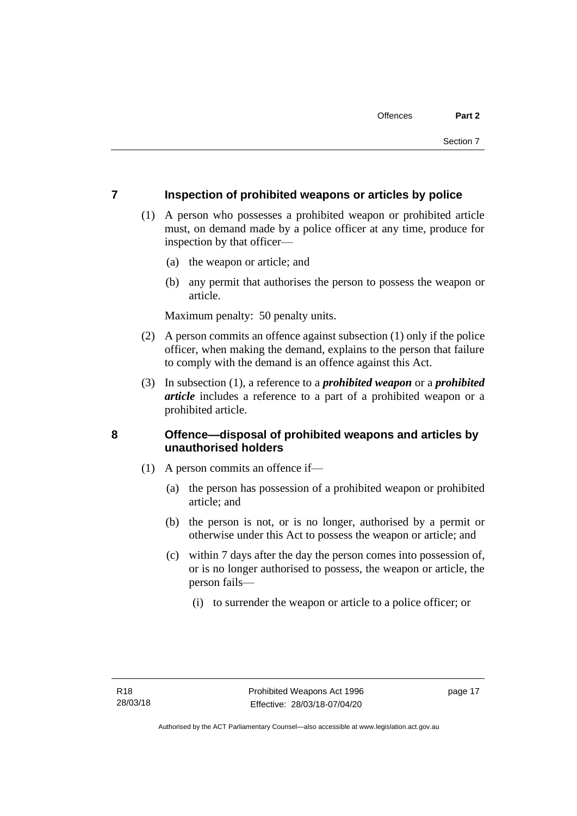### <span id="page-22-0"></span>**7 Inspection of prohibited weapons or articles by police**

- (1) A person who possesses a prohibited weapon or prohibited article must, on demand made by a police officer at any time, produce for inspection by that officer—
	- (a) the weapon or article; and
	- (b) any permit that authorises the person to possess the weapon or article.

Maximum penalty: 50 penalty units.

- (2) A person commits an offence against subsection (1) only if the police officer, when making the demand, explains to the person that failure to comply with the demand is an offence against this Act.
- (3) In subsection (1), a reference to a *prohibited weapon* or a *prohibited article* includes a reference to a part of a prohibited weapon or a prohibited article.

## <span id="page-22-1"></span>**8 Offence—disposal of prohibited weapons and articles by unauthorised holders**

- (1) A person commits an offence if—
	- (a) the person has possession of a prohibited weapon or prohibited article; and
	- (b) the person is not, or is no longer, authorised by a permit or otherwise under this Act to possess the weapon or article; and
	- (c) within 7 days after the day the person comes into possession of, or is no longer authorised to possess, the weapon or article, the person fails—
		- (i) to surrender the weapon or article to a police officer; or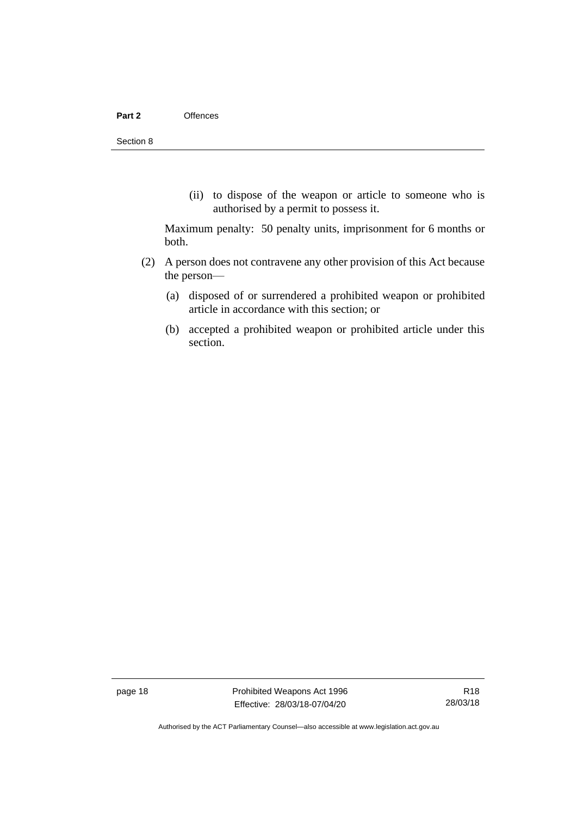(ii) to dispose of the weapon or article to someone who is authorised by a permit to possess it.

Maximum penalty: 50 penalty units, imprisonment for 6 months or both.

- (2) A person does not contravene any other provision of this Act because the person—
	- (a) disposed of or surrendered a prohibited weapon or prohibited article in accordance with this section; or
	- (b) accepted a prohibited weapon or prohibited article under this section.

page 18 Prohibited Weapons Act 1996 Effective: 28/03/18-07/04/20

R18 28/03/18

Authorised by the ACT Parliamentary Counsel—also accessible at www.legislation.act.gov.au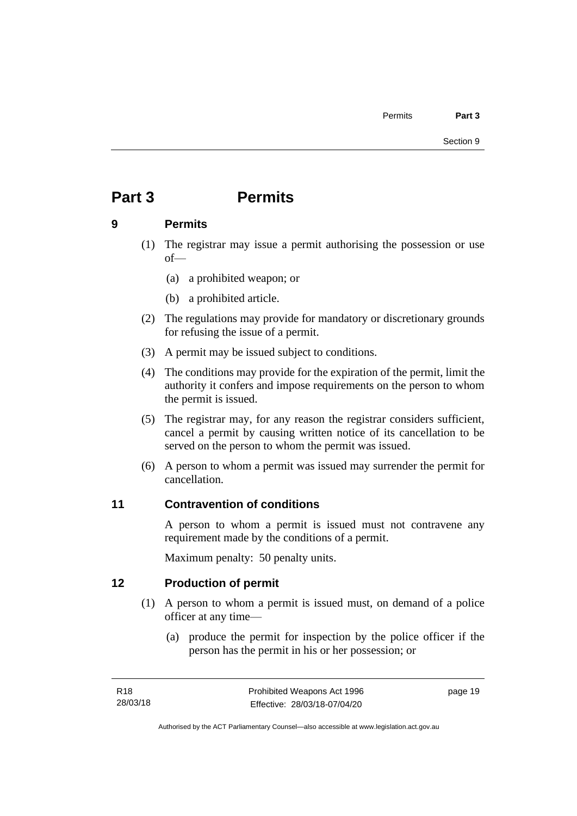## <span id="page-24-0"></span>**Part 3 Permits**

## <span id="page-24-1"></span>**9 Permits**

- (1) The registrar may issue a permit authorising the possession or use of—
	- (a) a prohibited weapon; or
	- (b) a prohibited article.
- (2) The regulations may provide for mandatory or discretionary grounds for refusing the issue of a permit.
- (3) A permit may be issued subject to conditions.
- (4) The conditions may provide for the expiration of the permit, limit the authority it confers and impose requirements on the person to whom the permit is issued.
- (5) The registrar may, for any reason the registrar considers sufficient, cancel a permit by causing written notice of its cancellation to be served on the person to whom the permit was issued.
- (6) A person to whom a permit was issued may surrender the permit for cancellation.

## <span id="page-24-2"></span>**11 Contravention of conditions**

A person to whom a permit is issued must not contravene any requirement made by the conditions of a permit.

Maximum penalty: 50 penalty units.

## <span id="page-24-3"></span>**12 Production of permit**

- (1) A person to whom a permit is issued must, on demand of a police officer at any time—
	- (a) produce the permit for inspection by the police officer if the person has the permit in his or her possession; or

page 19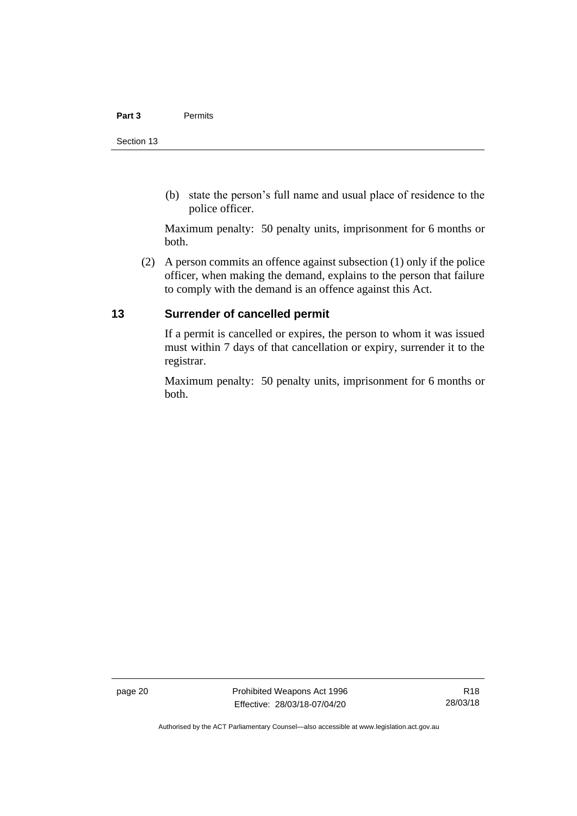#### **Part 3** Permits

(b) state the person's full name and usual place of residence to the police officer.

Maximum penalty: 50 penalty units, imprisonment for 6 months or both.

(2) A person commits an offence against subsection (1) only if the police officer, when making the demand, explains to the person that failure to comply with the demand is an offence against this Act.

## <span id="page-25-0"></span>**13 Surrender of cancelled permit**

If a permit is cancelled or expires, the person to whom it was issued must within 7 days of that cancellation or expiry, surrender it to the registrar.

Maximum penalty: 50 penalty units, imprisonment for 6 months or both.

page 20 Prohibited Weapons Act 1996 Effective: 28/03/18-07/04/20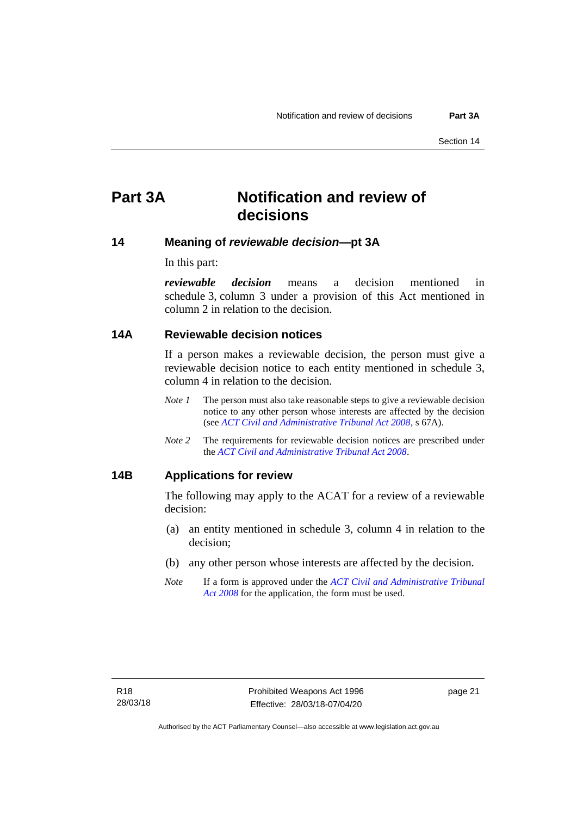## <span id="page-26-0"></span>**Part 3A Notification and review of decisions**

### <span id="page-26-1"></span>**14 Meaning of** *reviewable decision—***pt 3A**

In this part:

*reviewable decision* means a decision mentioned in schedule 3, column 3 under a provision of this Act mentioned in column 2 in relation to the decision.

## <span id="page-26-2"></span>**14A Reviewable decision notices**

If a person makes a reviewable decision, the person must give a reviewable decision notice to each entity mentioned in schedule 3, column 4 in relation to the decision.

- *Note 1* The person must also take reasonable steps to give a reviewable decision notice to any other person whose interests are affected by the decision (see *[ACT Civil and Administrative Tribunal Act 2008](http://www.legislation.act.gov.au/a/2008-35)*, s 67A).
- *Note* 2 The requirements for reviewable decision notices are prescribed under the *[ACT Civil and Administrative Tribunal Act 2008](http://www.legislation.act.gov.au/a/2008-35)*.

### <span id="page-26-3"></span>**14B Applications for review**

The following may apply to the ACAT for a review of a reviewable decision:

- (a) an entity mentioned in schedule 3, column 4 in relation to the decision;
- (b) any other person whose interests are affected by the decision.
- *Note* If a form is approved under the *[ACT Civil and Administrative Tribunal](http://www.legislation.act.gov.au/a/2008-35)  [Act 2008](http://www.legislation.act.gov.au/a/2008-35)* for the application, the form must be used.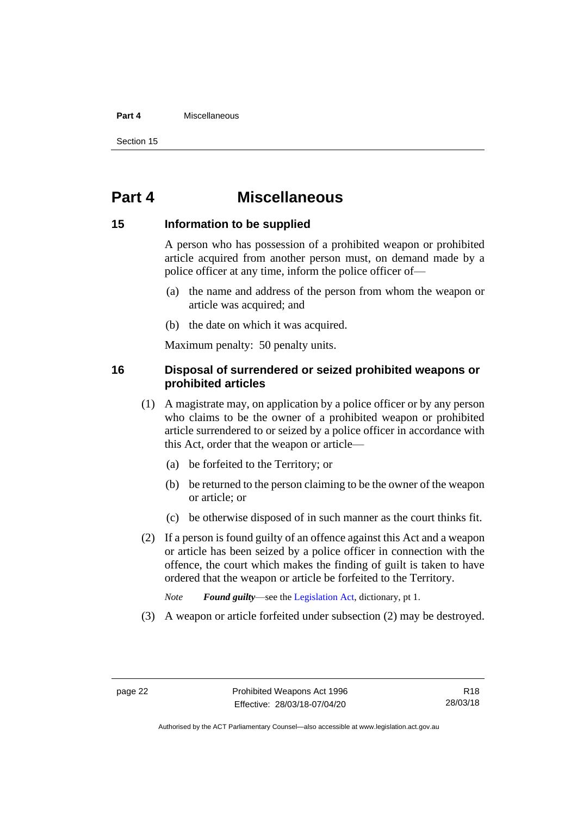#### **Part 4** Miscellaneous

Section 15

## <span id="page-27-0"></span>**Part 4 Miscellaneous**

### <span id="page-27-1"></span>**15 Information to be supplied**

A person who has possession of a prohibited weapon or prohibited article acquired from another person must, on demand made by a police officer at any time, inform the police officer of—

- (a) the name and address of the person from whom the weapon or article was acquired; and
- (b) the date on which it was acquired.

Maximum penalty: 50 penalty units.

## <span id="page-27-2"></span>**16 Disposal of surrendered or seized prohibited weapons or prohibited articles**

- (1) A magistrate may, on application by a police officer or by any person who claims to be the owner of a prohibited weapon or prohibited article surrendered to or seized by a police officer in accordance with this Act, order that the weapon or article—
	- (a) be forfeited to the Territory; or
	- (b) be returned to the person claiming to be the owner of the weapon or article; or
	- (c) be otherwise disposed of in such manner as the court thinks fit.
- (2) If a person is found guilty of an offence against this Act and a weapon or article has been seized by a police officer in connection with the offence, the court which makes the finding of guilt is taken to have ordered that the weapon or article be forfeited to the Territory.
	- *Note Found guilty*—see th[e Legislation Act,](http://www.legislation.act.gov.au/a/2001-14) dictionary, pt 1.
- (3) A weapon or article forfeited under subsection (2) may be destroyed.

Authorised by the ACT Parliamentary Counsel—also accessible at www.legislation.act.gov.au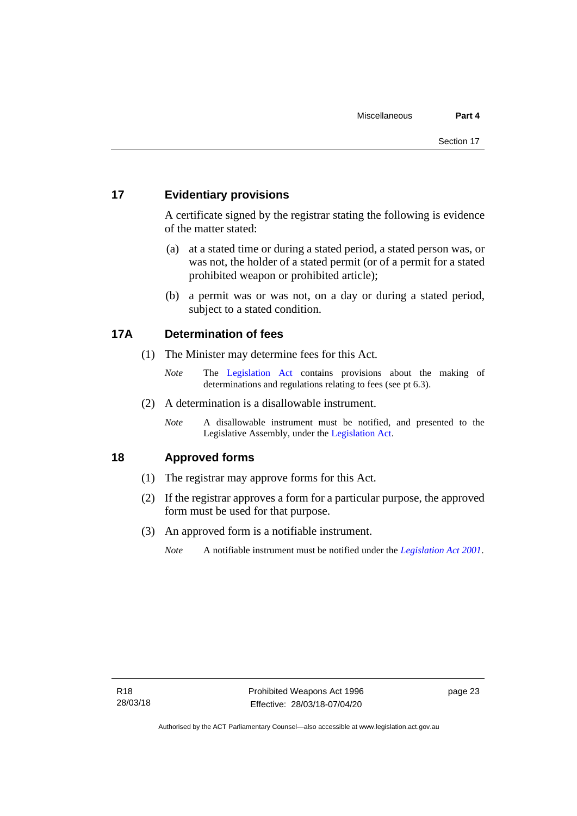## <span id="page-28-0"></span>**17 Evidentiary provisions**

A certificate signed by the registrar stating the following is evidence of the matter stated:

- (a) at a stated time or during a stated period, a stated person was, or was not, the holder of a stated permit (or of a permit for a stated prohibited weapon or prohibited article);
- (b) a permit was or was not, on a day or during a stated period, subject to a stated condition.

### <span id="page-28-1"></span>**17A Determination of fees**

- (1) The Minister may determine fees for this Act.
	- *Note* The [Legislation Act](http://www.legislation.act.gov.au/a/2001-14) contains provisions about the making of determinations and regulations relating to fees (see pt 6.3).
- (2) A determination is a disallowable instrument.
	- *Note* A disallowable instrument must be notified, and presented to the Legislative Assembly, under the [Legislation Act.](http://www.legislation.act.gov.au/a/2001-14)

### <span id="page-28-2"></span>**18 Approved forms**

- (1) The registrar may approve forms for this Act.
- (2) If the registrar approves a form for a particular purpose, the approved form must be used for that purpose.
- (3) An approved form is a notifiable instrument.
	- *Note* A notifiable instrument must be notified under the *[Legislation Act 2001](http://www.legislation.act.gov.au/a/2001-14)*.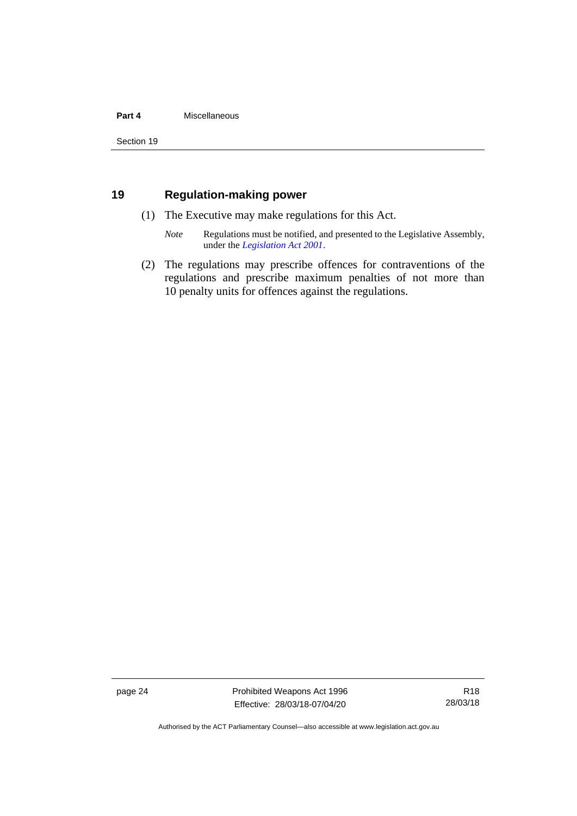#### **Part 4** Miscellaneous

Section 19

## <span id="page-29-0"></span>**19 Regulation-making power**

- (1) The Executive may make regulations for this Act.
	- *Note* Regulations must be notified, and presented to the Legislative Assembly, under the *[Legislation Act 2001](http://www.legislation.act.gov.au/a/2001-14)*.
- (2) The regulations may prescribe offences for contraventions of the regulations and prescribe maximum penalties of not more than 10 penalty units for offences against the regulations.

page 24 Prohibited Weapons Act 1996 Effective: 28/03/18-07/04/20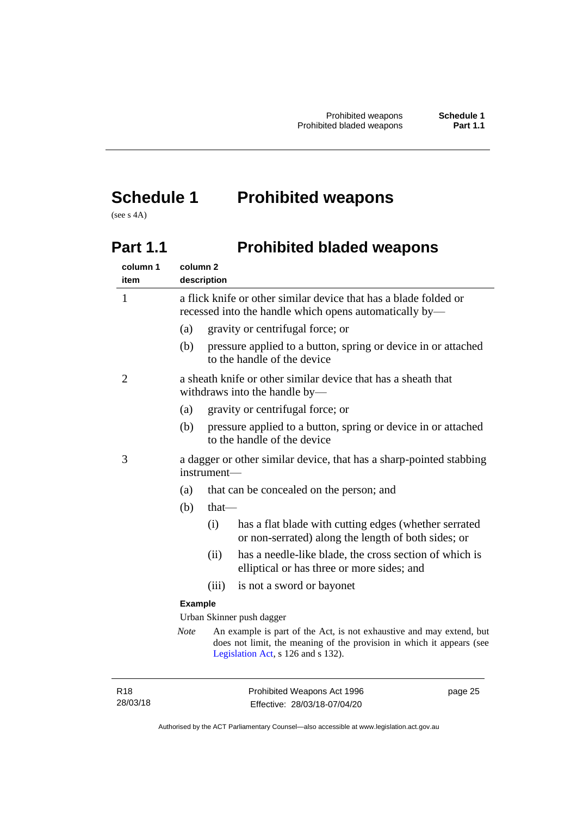## <span id="page-30-0"></span>**Schedule 1 Prohibited weapons**

<span id="page-30-1"></span>(see s 4A)

## **Part 1.1 Prohibited bladed weapons**

| column 1<br>item |                           | column <sub>2</sub><br>description                                                                                         |                                                                                                                                                                                     |
|------------------|---------------------------|----------------------------------------------------------------------------------------------------------------------------|-------------------------------------------------------------------------------------------------------------------------------------------------------------------------------------|
| 1                |                           | a flick knife or other similar device that has a blade folded or<br>recessed into the handle which opens automatically by- |                                                                                                                                                                                     |
|                  | (a)                       |                                                                                                                            | gravity or centrifugal force; or                                                                                                                                                    |
|                  | (b)                       |                                                                                                                            | pressure applied to a button, spring or device in or attached<br>to the handle of the device                                                                                        |
| 2                |                           |                                                                                                                            | a sheath knife or other similar device that has a sheath that<br>withdraws into the handle by-                                                                                      |
|                  | (a)                       |                                                                                                                            | gravity or centrifugal force; or                                                                                                                                                    |
|                  | (b)                       |                                                                                                                            | pressure applied to a button, spring or device in or attached<br>to the handle of the device                                                                                        |
| 3                |                           | instrument-                                                                                                                | a dagger or other similar device, that has a sharp-pointed stabbing                                                                                                                 |
|                  | (a)                       |                                                                                                                            | that can be concealed on the person; and                                                                                                                                            |
|                  | (b)                       | $that$ —                                                                                                                   |                                                                                                                                                                                     |
|                  |                           | (i)                                                                                                                        | has a flat blade with cutting edges (whether serrated<br>or non-serrated) along the length of both sides; or                                                                        |
|                  |                           | (ii)                                                                                                                       | has a needle-like blade, the cross section of which is<br>elliptical or has three or more sides; and                                                                                |
|                  |                           | (iii)                                                                                                                      | is not a sword or bayonet                                                                                                                                                           |
|                  | <b>Example</b>            |                                                                                                                            |                                                                                                                                                                                     |
|                  | Urban Skinner push dagger |                                                                                                                            |                                                                                                                                                                                     |
|                  | <b>Note</b>               |                                                                                                                            | An example is part of the Act, is not exhaustive and may extend, but<br>does not limit, the meaning of the provision in which it appears (see<br>Legislation Act, s 126 and s 132). |
|                  |                           |                                                                                                                            |                                                                                                                                                                                     |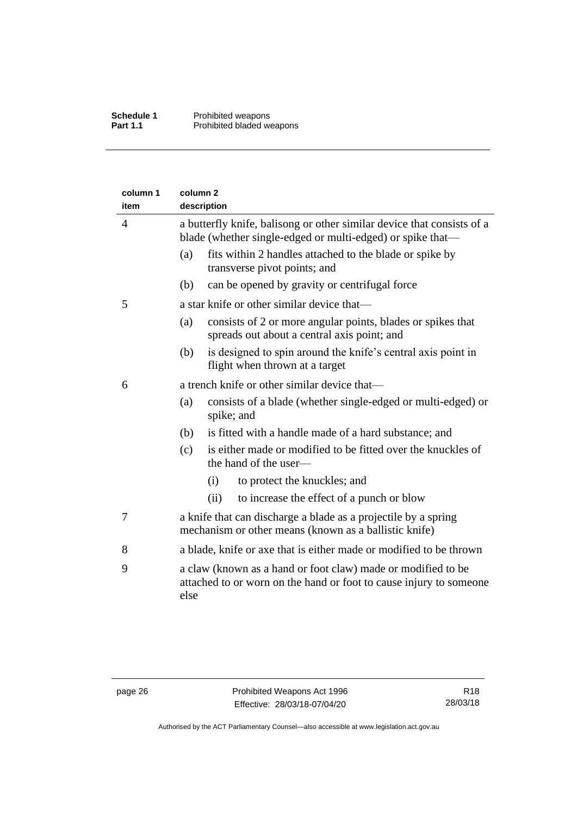| column 1<br>item | column <sub>2</sub><br>description                                                                                                         |  |
|------------------|--------------------------------------------------------------------------------------------------------------------------------------------|--|
| $\overline{4}$   | a butterfly knife, balisong or other similar device that consists of a<br>blade (whether single-edged or multi-edged) or spike that—       |  |
|                  | fits within 2 handles attached to the blade or spike by<br>(a)<br>transverse pivot points; and                                             |  |
|                  | can be opened by gravity or centrifugal force<br>(b)                                                                                       |  |
| 5                | a star knife or other similar device that-                                                                                                 |  |
|                  | consists of 2 or more angular points, blades or spikes that<br>(a)<br>spreads out about a central axis point; and                          |  |
|                  | is designed to spin around the knife's central axis point in<br>(b)<br>flight when thrown at a target                                      |  |
| 6                | a trench knife or other similar device that-                                                                                               |  |
|                  | consists of a blade (whether single-edged or multi-edged) or<br>(a)<br>spike; and                                                          |  |
|                  | is fitted with a handle made of a hard substance; and<br>(b)                                                                               |  |
|                  | is either made or modified to be fitted over the knuckles of<br>(c)<br>the hand of the user-                                               |  |
|                  | (i)<br>to protect the knuckles; and                                                                                                        |  |
|                  | to increase the effect of a punch or blow<br>(ii)                                                                                          |  |
| 7                | a knife that can discharge a blade as a projectile by a spring<br>mechanism or other means (known as a ballistic knife)                    |  |
| 8                | a blade, knife or axe that is either made or modified to be thrown                                                                         |  |
| 9                | a claw (known as a hand or foot claw) made or modified to be<br>attached to or worn on the hand or foot to cause injury to someone<br>else |  |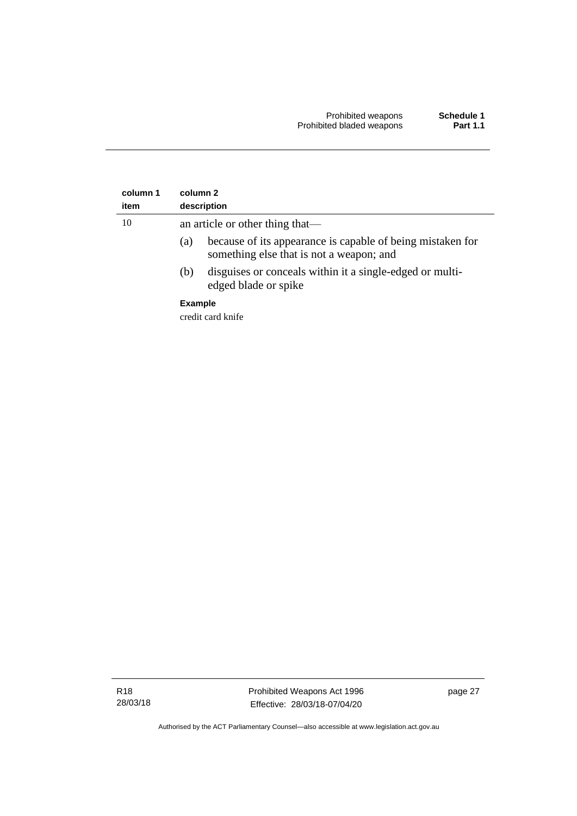| column 1<br>item | column 2<br>description                                                                                       |  |
|------------------|---------------------------------------------------------------------------------------------------------------|--|
| 10               | an article or other thing that—                                                                               |  |
|                  | because of its appearance is capable of being mistaken for<br>(a)<br>something else that is not a weapon; and |  |
|                  | disguises or conceals within it a single-edged or multi-<br>(b)<br>edged blade or spike                       |  |
|                  | <b>Example</b>                                                                                                |  |
|                  | credit card knife                                                                                             |  |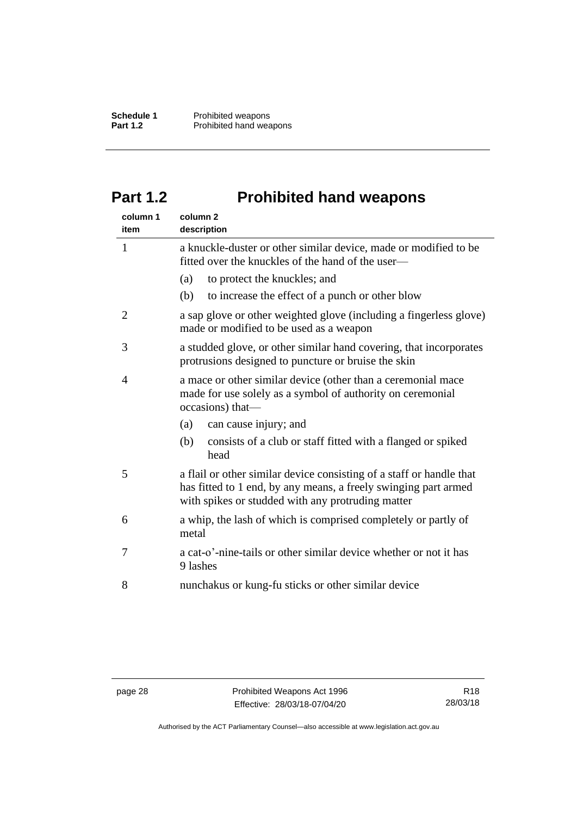## <span id="page-33-0"></span>**Part 1.2 Prohibited hand weapons**

| column 1<br>item | column <sub>2</sub><br>description                                                                                                                                                           |  |  |
|------------------|----------------------------------------------------------------------------------------------------------------------------------------------------------------------------------------------|--|--|
| 1                | a knuckle-duster or other similar device, made or modified to be<br>fitted over the knuckles of the hand of the user—                                                                        |  |  |
|                  | (a)<br>to protect the knuckles; and                                                                                                                                                          |  |  |
|                  | to increase the effect of a punch or other blow<br>(b)                                                                                                                                       |  |  |
| $\overline{2}$   | a sap glove or other weighted glove (including a fingerless glove)<br>made or modified to be used as a weapon                                                                                |  |  |
| 3                | a studded glove, or other similar hand covering, that incorporates<br>protrusions designed to puncture or bruise the skin                                                                    |  |  |
| 4                | a mace or other similar device (other than a ceremonial mace<br>made for use solely as a symbol of authority on ceremonial<br>occasions) that-                                               |  |  |
|                  | (a)<br>can cause injury; and                                                                                                                                                                 |  |  |
|                  | (b)<br>consists of a club or staff fitted with a flanged or spiked<br>head                                                                                                                   |  |  |
| 5                | a flail or other similar device consisting of a staff or handle that<br>has fitted to 1 end, by any means, a freely swinging part armed<br>with spikes or studded with any protruding matter |  |  |
| 6                | a whip, the lash of which is comprised completely or partly of<br>metal                                                                                                                      |  |  |
| 7                | a cat-o'-nine-tails or other similar device whether or not it has<br>9 lashes                                                                                                                |  |  |
| 8                | nunchakus or kung-fu sticks or other similar device                                                                                                                                          |  |  |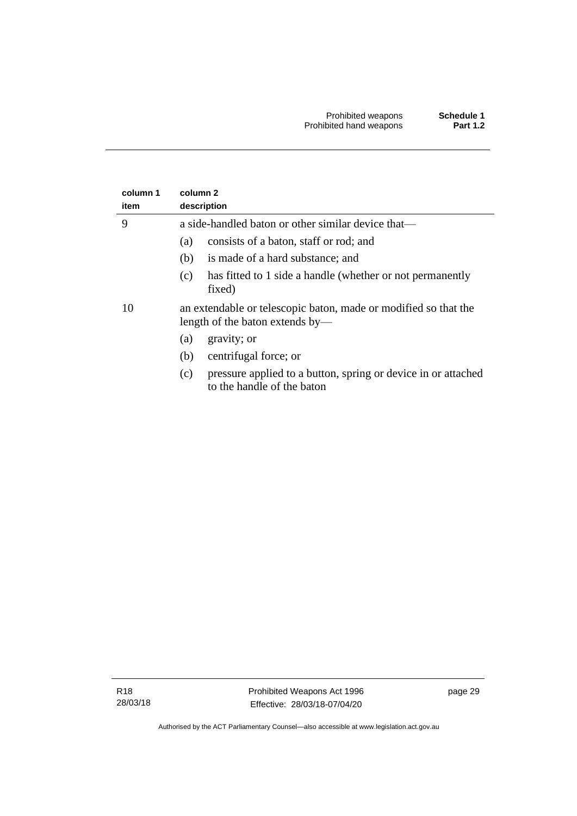| column 1 | column 2                                                                                           |  |  |
|----------|----------------------------------------------------------------------------------------------------|--|--|
| item     | description                                                                                        |  |  |
| 9        | a side-handled baton or other similar device that—                                                 |  |  |
|          | consists of a baton, staff or rod; and<br>(a)                                                      |  |  |
|          | is made of a hard substance; and<br>(b)                                                            |  |  |
|          | has fitted to 1 side a handle (whether or not permanently<br>(c)<br>fixed)                         |  |  |
| 10       | an extendable or telescopic baton, made or modified so that the<br>length of the baton extends by— |  |  |
|          | gravity; or<br>(a)                                                                                 |  |  |
|          | centrifugal force; or<br>(b)                                                                       |  |  |
|          | pressure applied to a button, spring or device in or attached<br>(c)<br>to the handle of the baton |  |  |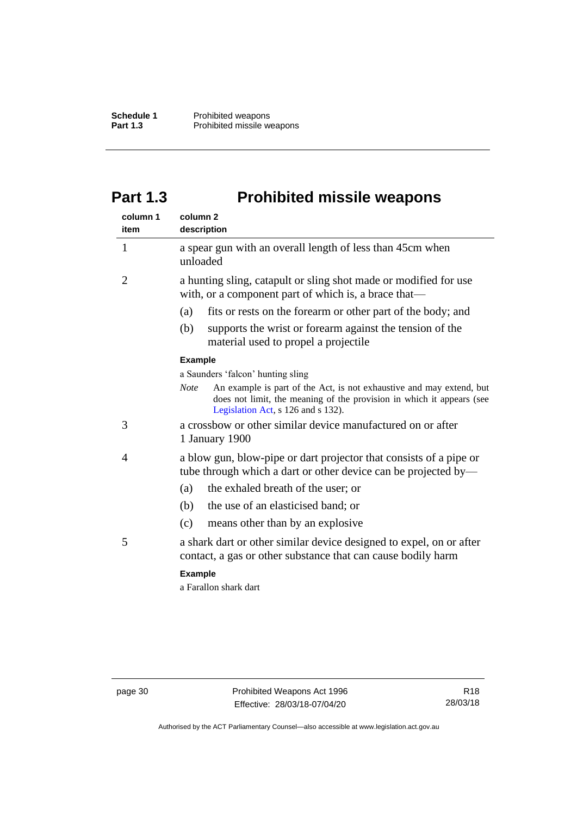## <span id="page-35-0"></span>**Part 1.3 Prohibited missile weapons**

| column 1<br>item | column <sub>2</sub><br>description                                                                                                                                                                 |  |  |
|------------------|----------------------------------------------------------------------------------------------------------------------------------------------------------------------------------------------------|--|--|
| 1                | a spear gun with an overall length of less than 45cm when<br>unloaded                                                                                                                              |  |  |
| 2                | a hunting sling, catapult or sling shot made or modified for use<br>with, or a component part of which is, a brace that—                                                                           |  |  |
|                  | fits or rests on the forearm or other part of the body; and<br>(a)                                                                                                                                 |  |  |
|                  | supports the wrist or forearm against the tension of the<br>(b)<br>material used to propel a projectile.                                                                                           |  |  |
|                  | <b>Example</b>                                                                                                                                                                                     |  |  |
|                  | a Saunders 'falcon' hunting sling                                                                                                                                                                  |  |  |
|                  | An example is part of the Act, is not exhaustive and may extend, but<br><b>Note</b><br>does not limit, the meaning of the provision in which it appears (see<br>Legislation Act, s 126 and s 132). |  |  |
| 3                | a crossbow or other similar device manufactured on or after<br>1 January 1900                                                                                                                      |  |  |
| 4                | a blow gun, blow-pipe or dart projector that consists of a pipe or<br>tube through which a dart or other device can be projected by—                                                               |  |  |
|                  | the exhaled breath of the user; or<br>(a)                                                                                                                                                          |  |  |
|                  | the use of an elasticised band; or<br>(b)                                                                                                                                                          |  |  |
|                  | (c)<br>means other than by an explosive                                                                                                                                                            |  |  |
| 5                | a shark dart or other similar device designed to expel, on or after<br>contact, a gas or other substance that can cause bodily harm                                                                |  |  |
|                  | <b>Example</b>                                                                                                                                                                                     |  |  |
|                  | a Farallon shark dart                                                                                                                                                                              |  |  |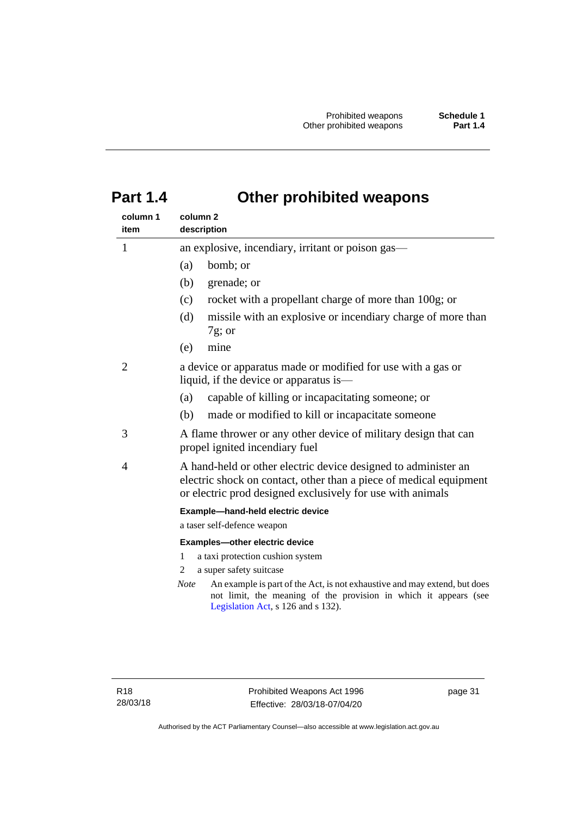## <span id="page-36-0"></span>**Part 1.4 Other prohibited weapons**

| column 1       | column <sub>2</sub>                                                                                                                                                                                |  |  |
|----------------|----------------------------------------------------------------------------------------------------------------------------------------------------------------------------------------------------|--|--|
| item           | description                                                                                                                                                                                        |  |  |
| $\mathbf{1}$   | an explosive, incendiary, irritant or poison gas—                                                                                                                                                  |  |  |
|                | bomb; or<br>(a)                                                                                                                                                                                    |  |  |
|                | (b)<br>grenade; or                                                                                                                                                                                 |  |  |
|                | rocket with a propellant charge of more than 100g; or<br>(c)                                                                                                                                       |  |  |
|                | missile with an explosive or incendiary charge of more than<br>(d)<br>$7g$ ; or                                                                                                                    |  |  |
|                | mine<br>(e)                                                                                                                                                                                        |  |  |
| $\overline{2}$ | a device or apparatus made or modified for use with a gas or<br>liquid, if the device or apparatus is—                                                                                             |  |  |
|                | capable of killing or incapacitating someone; or<br>(a)                                                                                                                                            |  |  |
|                | (b)<br>made or modified to kill or incapacitate someone                                                                                                                                            |  |  |
| 3              | A flame thrower or any other device of military design that can<br>propel ignited incendiary fuel                                                                                                  |  |  |
| 4              | A hand-held or other electric device designed to administer an<br>electric shock on contact, other than a piece of medical equipment<br>or electric prod designed exclusively for use with animals |  |  |
|                | Example-hand-held electric device                                                                                                                                                                  |  |  |
|                | a taser self-defence weapon                                                                                                                                                                        |  |  |
|                | Examples-other electric device                                                                                                                                                                     |  |  |
|                | 1<br>a taxi protection cushion system                                                                                                                                                              |  |  |
|                | a super safety suitcase<br>2                                                                                                                                                                       |  |  |
|                | An example is part of the Act, is not exhaustive and may extend, but does<br><b>Note</b><br>not limit, the meaning of the provision in which it appears (see<br>Legislation Act, s 126 and s 132). |  |  |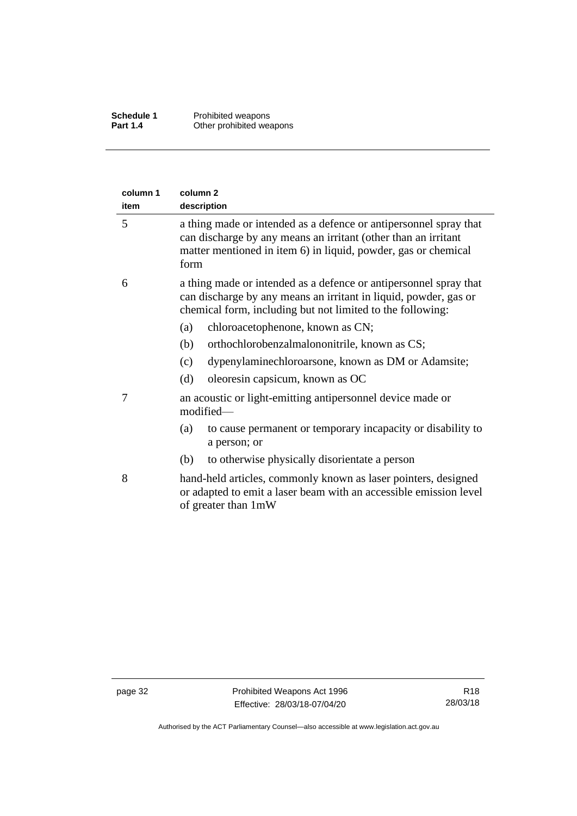| column 1<br>item | column 2<br>description                                                                                                                                                                                       |
|------------------|---------------------------------------------------------------------------------------------------------------------------------------------------------------------------------------------------------------|
| 5                | a thing made or intended as a defence or antipersonnel spray that<br>can discharge by any means an irritant (other than an irritant<br>matter mentioned in item 6) in liquid, powder, gas or chemical<br>form |
| 6                | a thing made or intended as a defence or antipersonnel spray that<br>can discharge by any means an irritant in liquid, powder, gas or<br>chemical form, including but not limited to the following:           |
|                  | chloroacetophenone, known as CN;<br>(a)                                                                                                                                                                       |
|                  | orthochlorobenzalmalononitrile, known as CS;<br>(b)                                                                                                                                                           |
|                  | dypenylaminechloroarsone, known as DM or Adamsite;<br>(c)                                                                                                                                                     |
|                  | (d)<br>oleoresin capsicum, known as OC                                                                                                                                                                        |
| 7                | an acoustic or light-emitting antipersonnel device made or<br>modified-                                                                                                                                       |
|                  | to cause permanent or temporary incapacity or disability to<br>(a)<br>a person; or                                                                                                                            |
|                  | to otherwise physically disorientate a person<br>(b)                                                                                                                                                          |
| 8                | hand-held articles, commonly known as laser pointers, designed<br>or adapted to emit a laser beam with an accessible emission level<br>of greater than 1mW                                                    |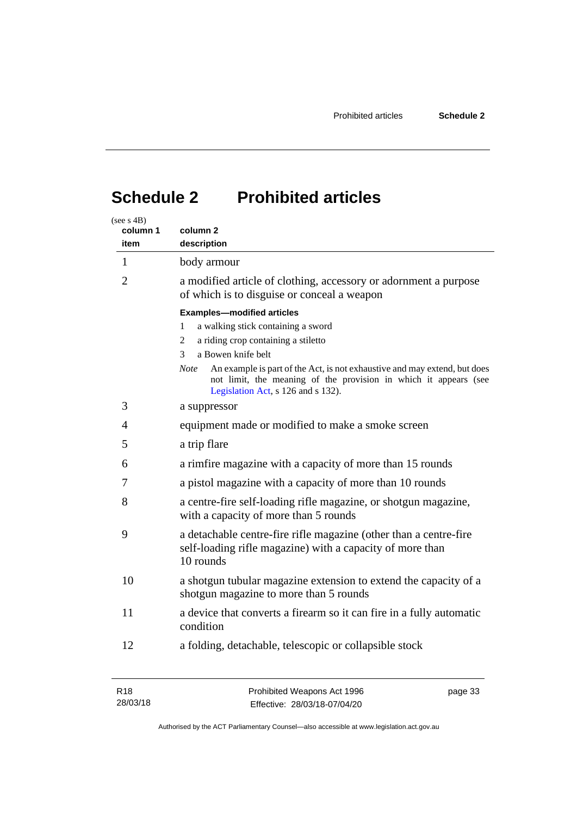## <span id="page-38-0"></span>**Schedule 2 Prohibited articles**

| (see s 4B)<br>column 1 | column <sub>2</sub>                                                                                                                                                                                |  |  |  |
|------------------------|----------------------------------------------------------------------------------------------------------------------------------------------------------------------------------------------------|--|--|--|
| item                   | description                                                                                                                                                                                        |  |  |  |
| 1                      | body armour                                                                                                                                                                                        |  |  |  |
| $\overline{2}$         | a modified article of clothing, accessory or adornment a purpose<br>of which is to disguise or conceal a weapon                                                                                    |  |  |  |
|                        | <b>Examples-modified articles</b>                                                                                                                                                                  |  |  |  |
|                        | a walking stick containing a sword<br>1                                                                                                                                                            |  |  |  |
|                        | $\overline{2}$<br>a riding crop containing a stiletto                                                                                                                                              |  |  |  |
|                        | a Bowen knife belt<br>3                                                                                                                                                                            |  |  |  |
|                        | An example is part of the Act, is not exhaustive and may extend, but does<br><i>Note</i><br>not limit, the meaning of the provision in which it appears (see<br>Legislation Act, s 126 and s 132). |  |  |  |
| 3                      | a suppressor                                                                                                                                                                                       |  |  |  |
| 4                      | equipment made or modified to make a smoke screen                                                                                                                                                  |  |  |  |
| 5                      | a trip flare                                                                                                                                                                                       |  |  |  |
| 6                      | a rimfire magazine with a capacity of more than 15 rounds                                                                                                                                          |  |  |  |
| 7                      | a pistol magazine with a capacity of more than 10 rounds                                                                                                                                           |  |  |  |
| 8                      | a centre-fire self-loading rifle magazine, or shotgun magazine,<br>with a capacity of more than 5 rounds                                                                                           |  |  |  |
| 9                      | a detachable centre-fire rifle magazine (other than a centre-fire<br>self-loading rifle magazine) with a capacity of more than<br>10 rounds                                                        |  |  |  |
| 10                     | a shotgun tubular magazine extension to extend the capacity of a<br>shotgun magazine to more than 5 rounds                                                                                         |  |  |  |
| 11                     | a device that converts a firearm so it can fire in a fully automatic<br>condition                                                                                                                  |  |  |  |
| 12                     | a folding, detachable, telescopic or collapsible stock                                                                                                                                             |  |  |  |

| R <sub>18</sub> | Prohibited Weapons Act 1996  | page 33 |
|-----------------|------------------------------|---------|
| 28/03/18        | Effective: 28/03/18-07/04/20 |         |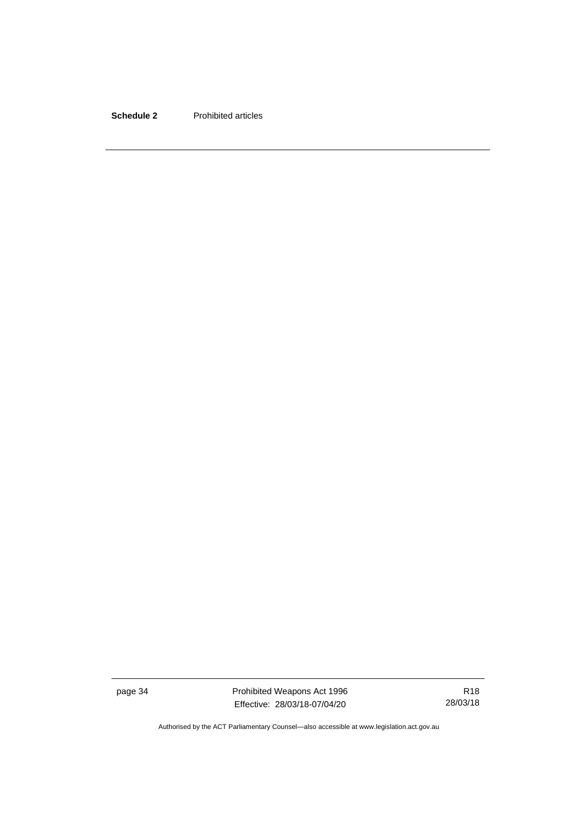### **Schedule 2** Prohibited articles

page 34 **Prohibited Weapons Act 1996** Effective: 28/03/18-07/04/20

R18 28/03/18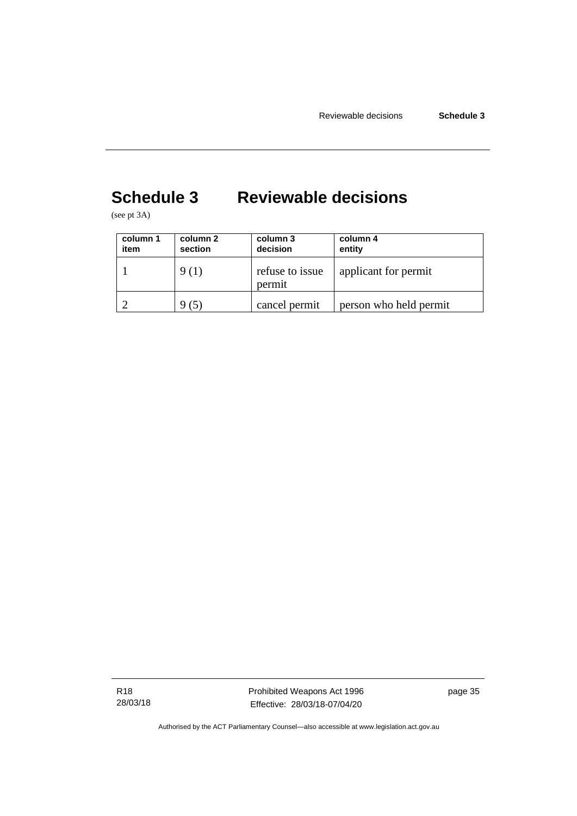## <span id="page-40-0"></span>**Schedule 3 Reviewable decisions**

(see pt 3A)

| column 1<br>item | column 2<br>section | column 3<br>decision      | column 4<br>entity     |
|------------------|---------------------|---------------------------|------------------------|
|                  | 9(1)                | refuse to issue<br>permit | applicant for permit   |
|                  | (5)                 | cancel permit             | person who held permit |

R18 28/03/18 Prohibited Weapons Act 1996 Effective: 28/03/18-07/04/20

page 35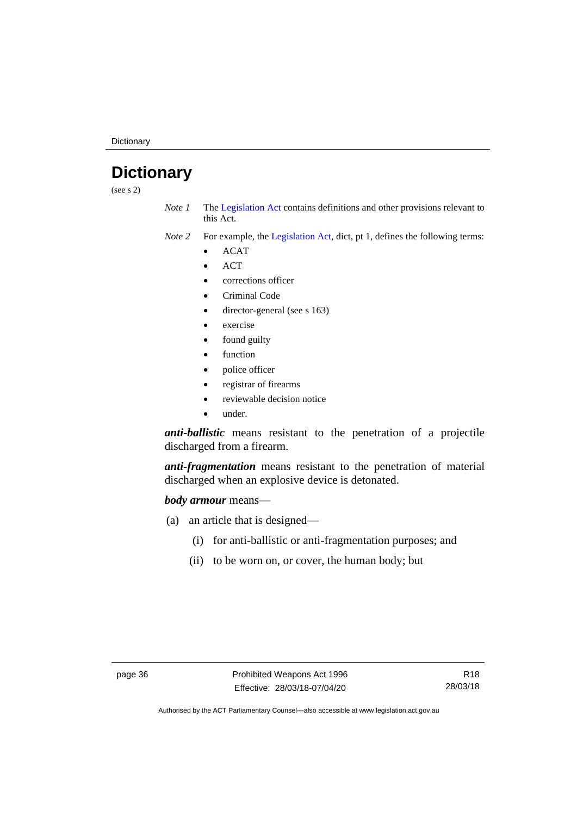**Dictionary** 

## <span id="page-41-0"></span>**Dictionary**

(see s 2)

- *Note 1* The [Legislation Act](http://www.legislation.act.gov.au/a/2001-14) contains definitions and other provisions relevant to this Act.
- *Note 2* For example, the [Legislation Act,](http://www.legislation.act.gov.au/a/2001-14) dict, pt 1, defines the following terms:
	- ACAT
	- ACT
	- corrections officer
	- Criminal Code
	- director-general (see s 163)
	- exercise
	- found guilty
	- function
	- police officer
	- registrar of firearms
	- reviewable decision notice
	- under.

*anti-ballistic* means resistant to the penetration of a projectile discharged from a firearm.

*anti-fragmentation* means resistant to the penetration of material discharged when an explosive device is detonated.

#### *body armour* means—

- (a) an article that is designed—
	- (i) for anti-ballistic or anti-fragmentation purposes; and
	- (ii) to be worn on, or cover, the human body; but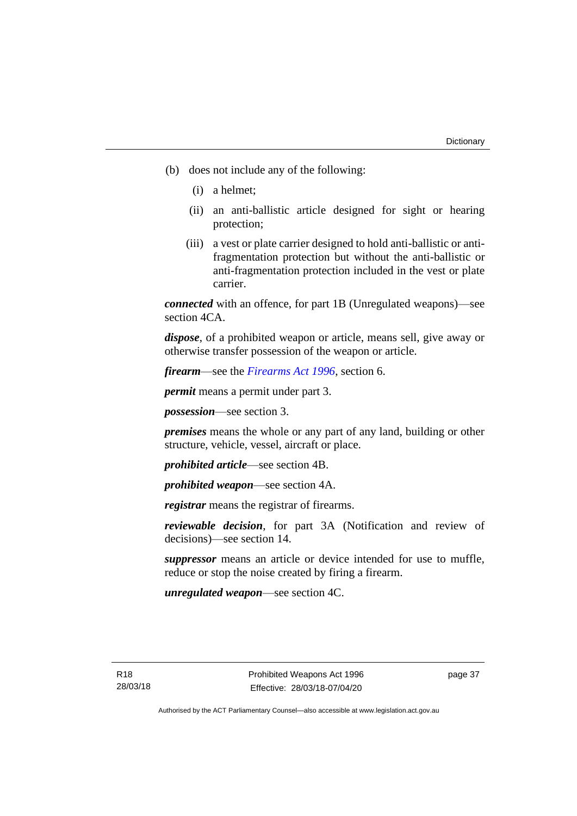- (b) does not include any of the following:
	- (i) a helmet;
	- (ii) an anti-ballistic article designed for sight or hearing protection;
	- (iii) a vest or plate carrier designed to hold anti-ballistic or antifragmentation protection but without the anti-ballistic or anti-fragmentation protection included in the vest or plate carrier.

*connected* with an offence, for part 1B (Unregulated weapons)—see section 4CA.

*dispose*, of a prohibited weapon or article, means sell, give away or otherwise transfer possession of the weapon or article.

*firearm*—see the *[Firearms Act 1996](http://www.legislation.act.gov.au/a/1996-74)*, section 6.

*permit* means a permit under part 3.

*possession*—see section 3.

*premises* means the whole or any part of any land, building or other structure, vehicle, vessel, aircraft or place.

*prohibited article*—see section 4B.

*prohibited weapon*—see section 4A.

*registrar* means the registrar of firearms.

*reviewable decision*, for part 3A (Notification and review of decisions)—see section 14.

*suppressor* means an article or device intended for use to muffle, reduce or stop the noise created by firing a firearm.

*unregulated weapon*—see section 4C.

R18 28/03/18 page 37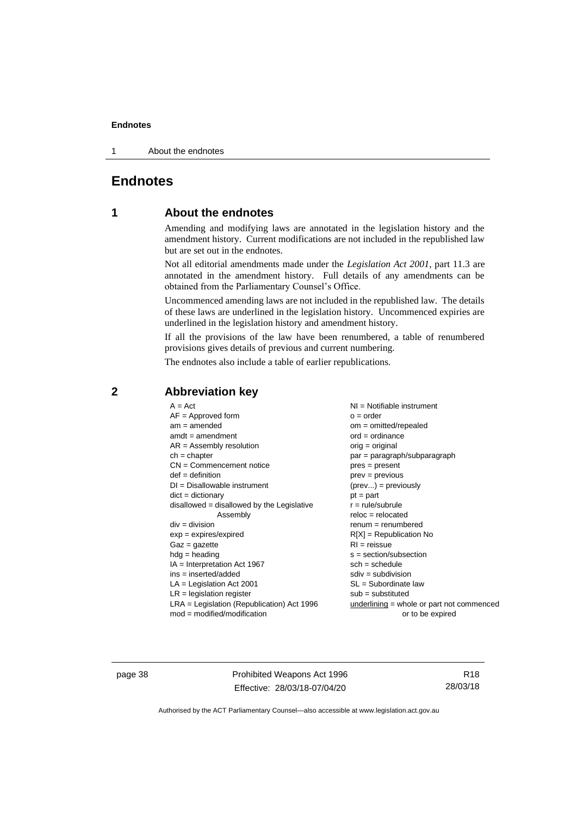1 About the endnotes

## <span id="page-43-1"></span><span id="page-43-0"></span>**Endnotes**

### **1 About the endnotes**

Amending and modifying laws are annotated in the legislation history and the amendment history. Current modifications are not included in the republished law but are set out in the endnotes.

Not all editorial amendments made under the *Legislation Act 2001*, part 11.3 are annotated in the amendment history. Full details of any amendments can be obtained from the Parliamentary Counsel's Office.

Uncommenced amending laws are not included in the republished law. The details of these laws are underlined in the legislation history. Uncommenced expiries are underlined in the legislation history and amendment history.

If all the provisions of the law have been renumbered, a table of renumbered provisions gives details of previous and current numbering.

The endnotes also include a table of earlier republications.

| $A = Act$                                    | $NI =$ Notifiable instrument              |
|----------------------------------------------|-------------------------------------------|
| $AF =$ Approved form                         | $o = order$                               |
| $am = amended$                               | $om = omitted/repealed$                   |
| $amdt = amendment$                           | $ord = ordinance$                         |
| $AR = Assembly resolution$                   | orig = original                           |
| $ch = chapter$                               | par = paragraph/subparagraph              |
| $CN =$ Commencement notice                   | $pres = present$                          |
| $def = definition$                           | $prev = previous$                         |
| $DI = Disallowable instrument$               | $(\text{prev}) = \text{previously}$       |
| $dict = dictionary$                          | $pt = part$                               |
| $disallowed = disallowed by the Legislative$ | $r = rule/subrule$                        |
| Assembly                                     | $reloc = relocated$                       |
| $div = division$                             | $renum = renumbered$                      |
| $exp = expires/expired$                      | $R[X]$ = Republication No                 |
| $Gaz = gazette$                              | $RI = reissue$                            |
| $hdg =$ heading                              | $s = section/subsection$                  |
| $IA = Interpretation Act 1967$               | $sch = schedule$                          |
| $ins = inserted/added$                       | $sdiv = subdivision$                      |
| $LA =$ Legislation Act 2001                  | $SL = Subordinate$ law                    |
| $LR =$ legislation register                  | $sub =$ substituted                       |
| $LRA =$ Legislation (Republication) Act 1996 | underlining = whole or part not commenced |
| $mod = modified/modification$                | or to be expired                          |
|                                              |                                           |

## <span id="page-43-2"></span>**2 Abbreviation key**

page 38 Prohibited Weapons Act 1996 Effective: 28/03/18-07/04/20

R18 28/03/18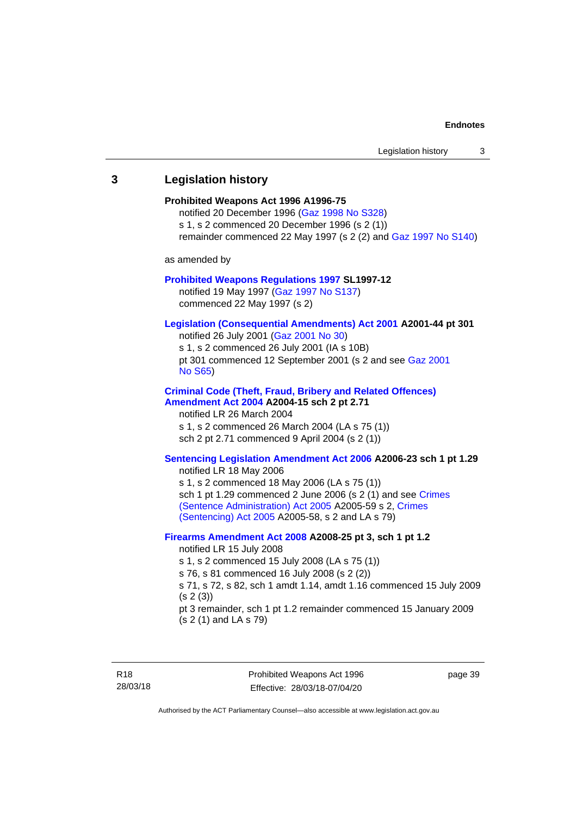## <span id="page-44-0"></span>**3 Legislation history Prohibited Weapons Act 1996 A1996-75**  notified 20 December 1996 [\(Gaz 1998 No S328\)](http://www.legislation.act.gov.au/gaz/1998-S328/default.asp) s 1, s 2 commenced 20 December 1996 (s 2 (1)) remainder commenced 22 May 1997 (s 2 (2) and [Gaz 1997 No S140\)](http://www.legislation.act.gov.au/gaz/1997-S140/default.asp) as amended by **[Prohibited Weapons Regulations 1997](http://www.legislation.act.gov.au/sl/1997-12/default.asp) SL1997-12** notified 19 May 1997 [\(Gaz 1997 No S137\)](http://www.legislation.act.gov.au/gaz/1997-S137/default.asp) commenced 22 May 1997 (s 2) **[Legislation \(Consequential Amendments\) Act 2001](http://www.legislation.act.gov.au/a/2001-44) A2001-44 pt 301** notified 26 July 2001 [\(Gaz 2001 No 30\)](http://www.legislation.act.gov.au/gaz/2001-30/default.asp) s 1, s 2 commenced 26 July 2001 (IA s 10B) pt 301 commenced 12 September 2001 (s 2 and see [Gaz 2001](http://www.legislation.act.gov.au/gaz/2001-S65/default.asp)  No [S65\)](http://www.legislation.act.gov.au/gaz/2001-S65/default.asp) **[Criminal Code \(Theft, Fraud, Bribery and Related Offences\)](http://www.legislation.act.gov.au/a/2004-15/default.asp)  [Amendment Act 2004](http://www.legislation.act.gov.au/a/2004-15/default.asp) A2004-15 sch 2 pt 2.71** notified LR 26 March 2004 s 1, s 2 commenced 26 March 2004 (LA s 75 (1)) sch 2 pt 2.71 commenced 9 April 2004 (s 2 (1)) **[Sentencing Legislation Amendment Act 2006](http://www.legislation.act.gov.au/a/2006-23) A2006-23 sch 1 pt 1.29** notified LR 18 May 2006 s 1, s 2 commenced 18 May 2006 (LA s 75 (1)) sch 1 pt 1.29 commenced 2 June 2006 (s 2 (1) and see Crimes

[\(Sentence Administration\) Act 2005](http://www.legislation.act.gov.au/a/2005-59) A2005-59 s 2, [Crimes](http://www.legislation.act.gov.au/a/2005-58)  [\(Sentencing\) Act 2005](http://www.legislation.act.gov.au/a/2005-58) A2005-58, s 2 and LA s 79)

#### **[Firearms Amendment Act 2008](http://www.legislation.act.gov.au/a/2008-25) A2008-25 pt 3, sch 1 pt 1.2** notified LR 15 July 2008 s 1, s 2 commenced 15 July 2008 (LA s 75 (1)) s 76, s 81 commenced 16 July 2008 (s 2 (2)) s 71, s 72, s 82, sch 1 amdt 1.14, amdt 1.16 commenced 15 July 2009 (s 2 (3)) pt 3 remainder, sch 1 pt 1.2 remainder commenced 15 January 2009 (s 2 (1) and LA s 79)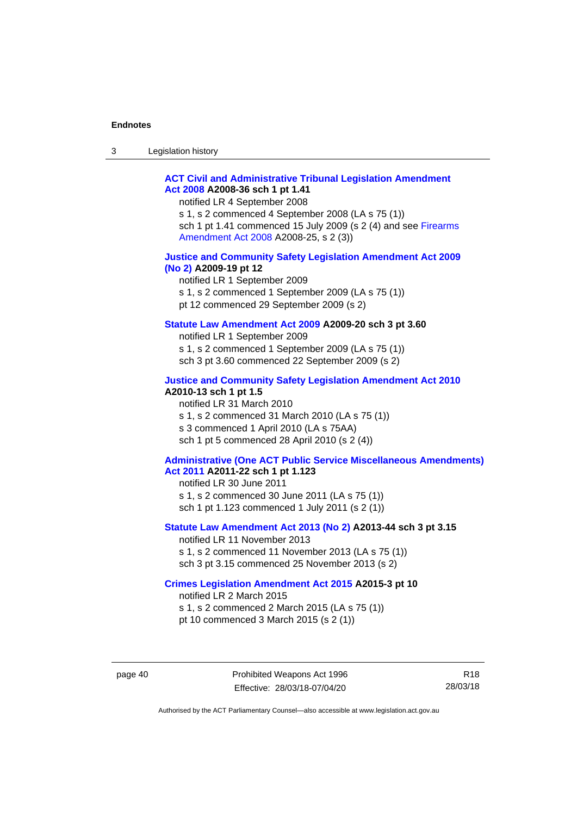|  | -3 | Legislation history |
|--|----|---------------------|
|--|----|---------------------|

#### **[ACT Civil and Administrative Tribunal Legislation Amendment](http://www.legislation.act.gov.au/a/2008-36)  Act [2008](http://www.legislation.act.gov.au/a/2008-36) A2008-36 sch 1 pt 1.41**

notified LR 4 September 2008

s 1, s 2 commenced 4 September 2008 (LA s 75 (1)) sch 1 pt 1.41 commenced 15 July 2009 (s 2 (4) and see Firearms [Amendment Act 2008](http://www.legislation.act.gov.au/a/2008-25) A2008-25, s 2 (3))

#### **[Justice and Community Safety Legislation Amendment Act 2009](http://www.legislation.act.gov.au/a/2009-19)  [\(No](http://www.legislation.act.gov.au/a/2009-19) 2) A2009-19 pt 12**

notified LR 1 September 2009 s 1, s 2 commenced 1 September 2009 (LA s 75 (1)) pt 12 commenced 29 September 2009 (s 2)

#### **[Statute Law Amendment Act 2009](http://www.legislation.act.gov.au/a/2009-20) A2009-20 sch 3 pt 3.60**

notified LR 1 September 2009 s 1, s 2 commenced 1 September 2009 (LA s 75 (1)) sch 3 pt 3.60 commenced 22 September 2009 (s 2)

#### **[Justice and Community Safety Legislation Amendment Act 2010](http://www.legislation.act.gov.au/a/2010-13)**

### **A2010-13 sch 1 pt 1.5**

notified LR 31 March 2010 s 1, s 2 commenced 31 March 2010 (LA s 75 (1)) s 3 commenced 1 April 2010 (LA s 75AA) sch 1 pt 5 commenced 28 April 2010 (s 2 (4))

#### **[Administrative \(One ACT Public Service Miscellaneous Amendments\)](http://www.legislation.act.gov.au/a/2011-22)  Act [2011](http://www.legislation.act.gov.au/a/2011-22) A2011-22 sch 1 pt 1.123**

notified LR 30 June 2011 s 1, s 2 commenced 30 June 2011 (LA s 75 (1)) sch 1 pt 1.123 commenced 1 July 2011 (s 2 (1))

#### **[Statute Law Amendment Act 2013 \(No](http://www.legislation.act.gov.au/a/2013-44) 2) A2013-44 sch 3 pt 3.15**

notified LR 11 November 2013 s 1, s 2 commenced 11 November 2013 (LA s 75 (1)) sch 3 pt 3.15 commenced 25 November 2013 (s 2)

#### **[Crimes Legislation Amendment Act 2015](http://www.legislation.act.gov.au/a/2015-3/default.asp) A2015-3 pt 10**

notified LR 2 March 2015

s 1, s 2 commenced 2 March 2015 (LA s 75 (1))

pt 10 commenced 3 March 2015 (s 2 (1))

R18 28/03/18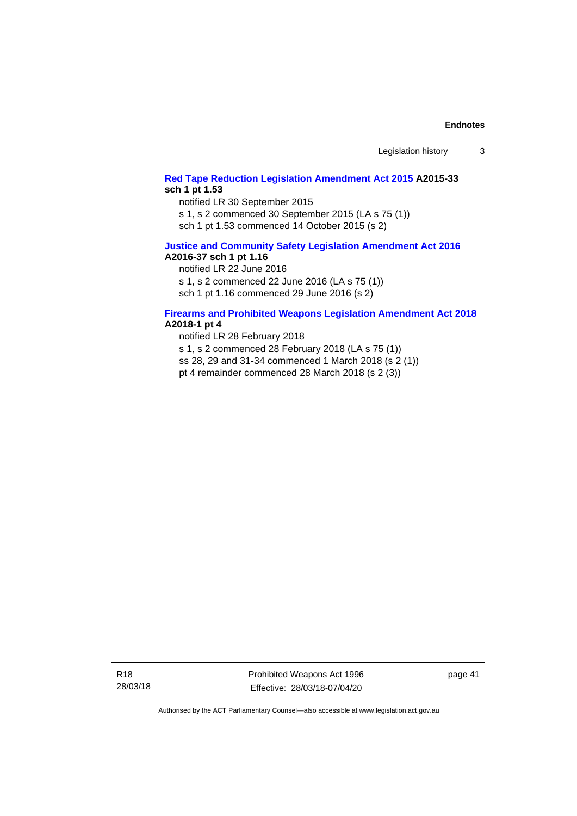#### **[Red Tape Reduction Legislation Amendment Act 2015](http://www.legislation.act.gov.au/a/2015-33/default.asp) A2015-33 sch 1 pt 1.53**

notified LR 30 September 2015

s 1, s 2 commenced 30 September 2015 (LA s 75 (1))

sch 1 pt 1.53 commenced 14 October 2015 (s 2)

#### **[Justice and Community Safety Legislation Amendment Act 2016](http://www.legislation.act.gov.au/a/2016-37) A2016-37 sch 1 pt 1.16**

notified LR 22 June 2016

s 1, s 2 commenced 22 June 2016 (LA s 75 (1))

sch 1 pt 1.16 commenced 29 June 2016 (s 2)

#### **[Firearms and Prohibited Weapons Legislation Amendment Act 2018](http://www.legislation.act.gov.au/a/2018-1/default.asp) A2018-1 pt 4**

notified LR 28 February 2018

s 1, s 2 commenced 28 February 2018 (LA s 75 (1))

- ss 28, 29 and 31-34 commenced 1 March 2018 (s 2 (1))
- pt 4 remainder commenced 28 March 2018 (s 2 (3))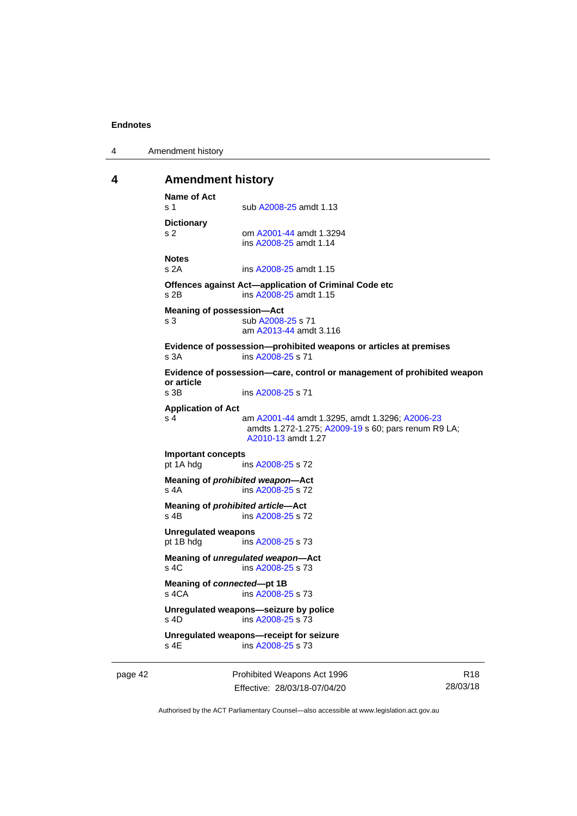4 Amendment history

#### <span id="page-47-0"></span>**4 Amendment history**

```
page 42 Prohibited Weapons Act 1996
         Name of Act
          A2008-25 amdt 1.13
         Dictionary
         s 2 om A2001-44 amdt 1.3294
                        ins A2008-25 amdt 1.14
         Notes
         s 2A ins A2008-25 amdt 1.15
         Offences against Act—application of Criminal Code etc
         s 2B ins A2008-25 amdt 1.15
         Meaning of possession—Act
         s 3 sub A2008-25 s 71
                        am A2013-44 amdt 3.116
         Evidence of possession—prohibited weapons or articles at premises
         s 3A ins A2008-25 s 71
         Evidence of possession—care, control or management of prohibited weapon 
         or article
                         A2008-25 s 71
         Application of Act
         s 4 am A2001-44 amdt 1.3295, amdt 1.3296; A2006-23
                         amdts 1.272-1.275; A2009-19 s 60; pars renum R9 LA; 
                         A2010-13 amdt 1.27
         Important concepts
         pt 1A hdg ins A2008-25 s 72
         Meaning of prohibited weapon—Act
          A2008-25 s 72
         Meaning of prohibited article—Act
         s 4B ins A2008-25 s 72
         Unregulated weapons
         pt 1B hdg ins A2008-25 s 73
         Meaning of unregulated weapon—Act
         s 4C ins A2008-25 s 73
         Meaning of connected—pt 1B
         s 4CA ins A2008-25 s 73
         Unregulated weapons—seizure by police
         s 4D ins A2008-25 s 73
         Unregulated weapons—receipt for seizure
                         A2008-25 s 73
```
Effective: 28/03/18-07/04/20

R18 28/03/18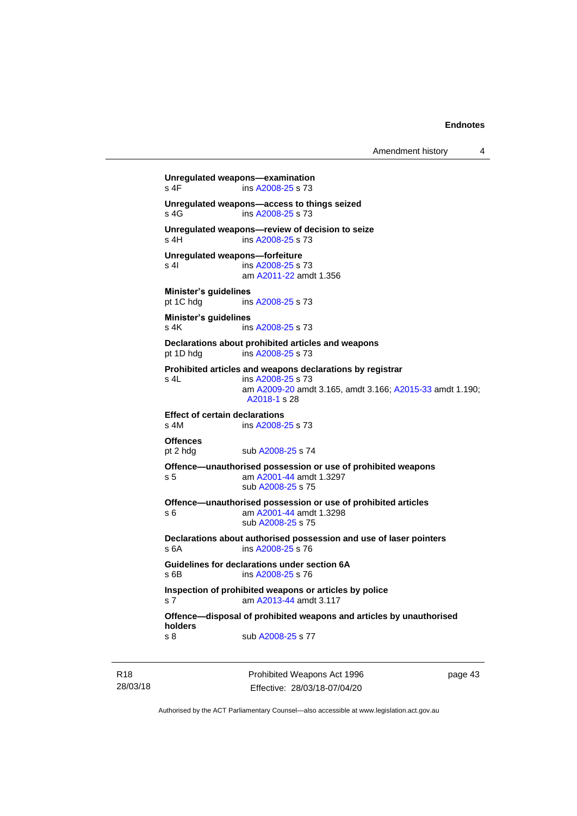Amendment history 4

```
Unregulated weapons—examination
 A2008-25 s 73
Unregulated weapons—access to things seized
 A2008-25 s 73
Unregulated weapons—review of decision to seize
 A2008-25 s 73
Unregulated weapons—forfeiture
 A2008-25 s 73
              am A2011-22 amdt 1.356
Minister's guidelines
pt 1C hdg ins A2008-25 s 73
Minister's guidelines
 A2008-25 s 73
Declarations about prohibited articles and weapons
pt 1D hdg ins A2008-25 s 73
Prohibited articles and weapons declarations by registrar
s 4L ins A2008-25 s 73
               am A2009-20 amdt 3.165, amdt 3.166; A2015-33 amdt 1.190; 
               A2018-1 s 28
Effect of certain declarations
s 4M ins A2008-25 s 73
Offences
 A2008-25 s 74
Offence—unauthorised possession or use of prohibited weapons
 A2001-44 amdt 1.3297
               sub A2008-25 s 75
Offence—unauthorised possession or use of prohibited articles
s 6 am A2001-44 amdt 1.3298
              sub A2008-25 s 75
Declarations about authorised possession and use of laser pointers
s 6A ins A2008-25 s 76
Guidelines for declarations under section 6A
s 6B ins A2008-25 s 76
Inspection of prohibited weapons or articles by police
s 7 am A2013-44 amdt 3.117
Offence—disposal of prohibited weapons and articles by unauthorised 
holders
 A2008-25 s 77
```
R18 28/03/18 Prohibited Weapons Act 1996 Effective: 28/03/18-07/04/20

page 43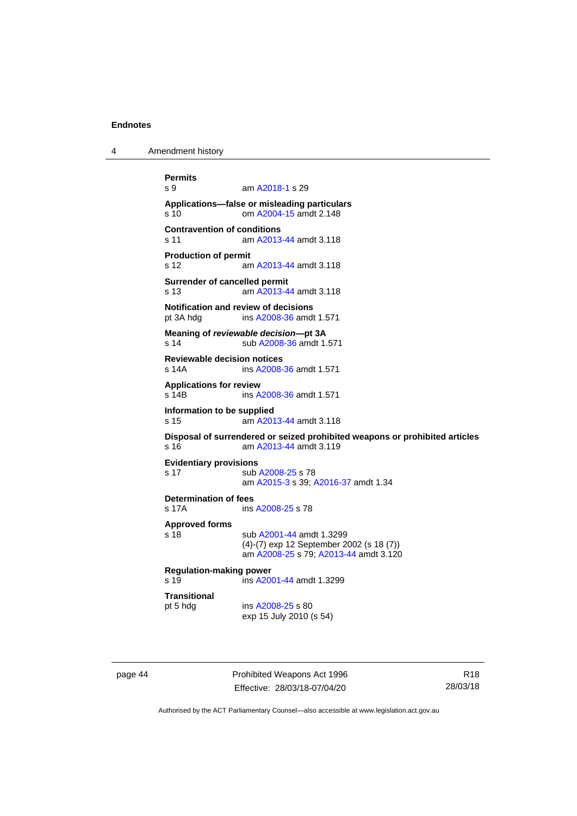4 Amendment history

```
Permits
                A2018-1 s 29
Applications—false or misleading particulars
s 10 om A2004-15 amdt 2.148
Contravention of conditions
s 11 am A2013-44 amdt 3.118
Production of permit
s 12 am A2013-44 amdt 3.118
Surrender of cancelled permit
s 13 am A2013-44 amdt 3.118
Notification and review of decisions
pt 3A hdg ins A2008-36 amdt 1.571
Meaning of reviewable decision—pt 3A
s 14 sub A2008-36 amdt 1.571
Reviewable decision notices
s 14A ins A2008-36 amdt 1.571
Applications for review
s 14B ins A2008-36 amdt 1.571
Information to be supplied
s 15 am A2013-44 amdt 3.118
Disposal of surrendered or seized prohibited weapons or prohibited articles
s 16 am A2013-44 amdt 3.119
Evidentiary provisions
 A2008-25 s 78
               am A2015-3 s 39; A2016-37 amdt 1.34
Determination of fees
s 17A ins A2008-25 s 78
Approved forms
s 18 sub A2001-44 amdt 1.3299
               (4)-(7) exp 12 September 2002 (s 18 (7))
               am A2008-25 s 79; A2013-44 amdt 3.120
Regulation-making power<br>s 19 ins A200
                A2001-44 amdt 1.3299
Transitional
pt 5 hdg ins A2008-25 s 80
               exp 15 July 2010 (s 54)
```
page 44 Prohibited Weapons Act 1996 Effective: 28/03/18-07/04/20

R18 28/03/18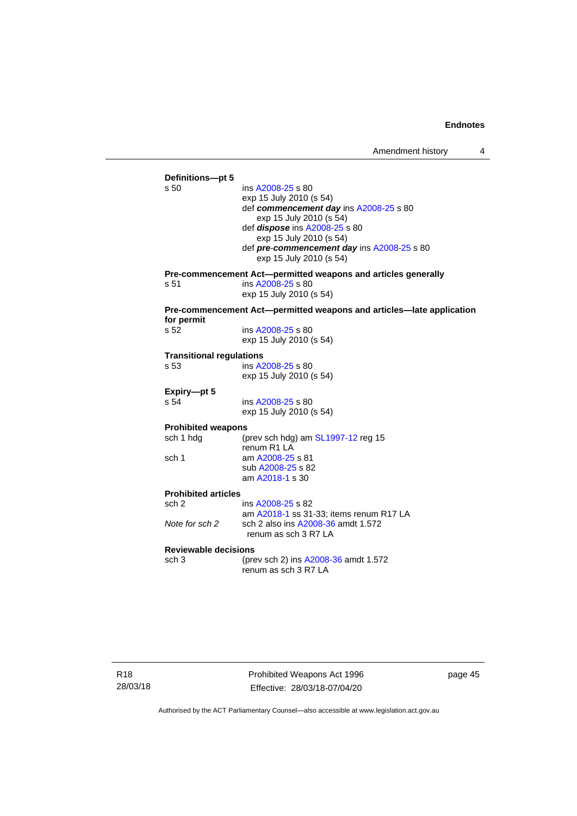| Definitions-pt 5<br>s 50                           | ins A2008-25 s 80<br>exp 15 July 2010 (s 54)<br>def commencement day ins A2008-25 s 80<br>exp 15 July 2010 (s 54)<br>def dispose ins A2008-25 s 80<br>exp 15 July 2010 (s 54)<br>def pre-commencement day ins A2008-25 s 80<br>exp 15 July 2010 (s 54) |
|----------------------------------------------------|--------------------------------------------------------------------------------------------------------------------------------------------------------------------------------------------------------------------------------------------------------|
| s 51                                               | Pre-commencement Act-permitted weapons and articles generally<br>ins A2008-25 s 80<br>exp 15 July 2010 (s 54)                                                                                                                                          |
|                                                    | Pre-commencement Act-permitted weapons and articles-late application                                                                                                                                                                                   |
| for permit<br>s <sub>52</sub>                      | ins A2008-25 s 80<br>exp 15 July 2010 (s 54)                                                                                                                                                                                                           |
| <b>Transitional regulations</b><br>s <sub>53</sub> | ins A2008-25 s 80<br>exp 15 July 2010 (s 54)                                                                                                                                                                                                           |
| Expiry-pt 5<br>s 54                                | ins A2008-25 s 80<br>exp 15 July 2010 (s 54)                                                                                                                                                                                                           |
| <b>Prohibited weapons</b><br>sch 1 hdg             | (prev sch hdg) am SL1997-12 reg 15<br>renum R1 LA                                                                                                                                                                                                      |
| sch 1                                              | am A2008-25 s 81<br>sub A2008-25 s 82<br>am A2018-1 s 30                                                                                                                                                                                               |
| <b>Prohibited articles</b>                         |                                                                                                                                                                                                                                                        |
| sch <sub>2</sub>                                   | ins A2008-25 s 82<br>am A2018-1 ss 31-33; items renum R17 LA                                                                                                                                                                                           |
| Note for sch 2                                     | sch 2 also ins A2008-36 amdt 1.572<br>renum as sch 3 R7 LA                                                                                                                                                                                             |
| <b>Reviewable decisions</b>                        |                                                                                                                                                                                                                                                        |
| sch <sub>3</sub>                                   | (prev sch 2) ins A2008-36 amdt 1.572<br>renum as sch 3 R7 LA                                                                                                                                                                                           |
|                                                    |                                                                                                                                                                                                                                                        |

Prohibited Weapons Act 1996 Effective: 28/03/18-07/04/20

page 45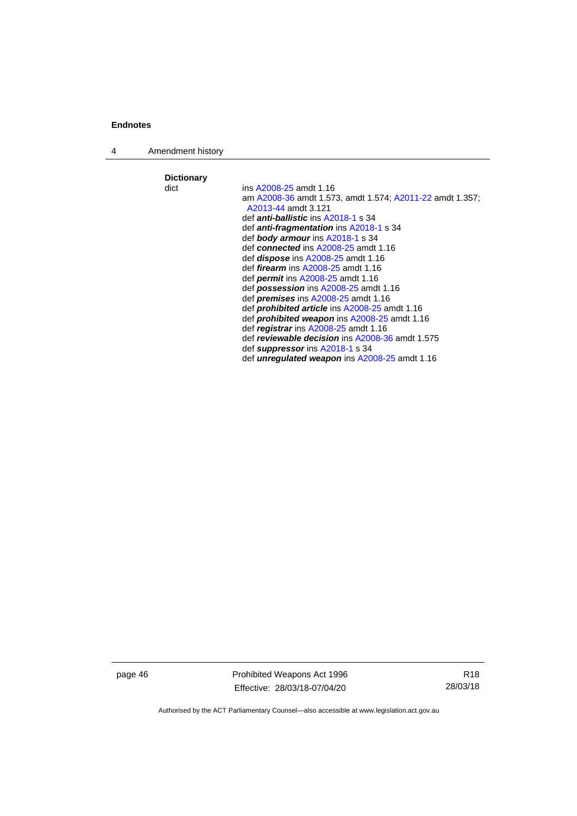4 Amendment history

**Dictionary** ins [A2008-25](http://www.legislation.act.gov.au/a/2008-25) amdt 1.16 am [A2008-36](http://www.legislation.act.gov.au/a/2008-36) amdt 1.573, amdt 1.574[; A2011-22](http://www.legislation.act.gov.au/a/2011-22) amdt 1.357; [A2013-44](http://www.legislation.act.gov.au/a/2013-44) amdt 3.121 def *anti-ballistic* ins [A2018-1](http://www.legislation.act.gov.au/a/2018-1/default.asp) s 34 def *anti-fragmentation* ins [A2018-1](http://www.legislation.act.gov.au/a/2018-1/default.asp) s 34 def *body armour* ins [A2018-1](http://www.legislation.act.gov.au/a/2018-1/default.asp) s 34 def *connected* in[s A2008-25](http://www.legislation.act.gov.au/a/2008-25) amdt 1.16 def *dispose* in[s A2008-25](http://www.legislation.act.gov.au/a/2008-25) amdt 1.16 def *firearm* ins [A2008-25](http://www.legislation.act.gov.au/a/2008-25) amdt 1.16 def *permit* ins [A2008-25](http://www.legislation.act.gov.au/a/2008-25) amdt 1.16 def *possession* ins [A2008-25](http://www.legislation.act.gov.au/a/2008-25) amdt 1.16 def *premises* ins [A2008-25](http://www.legislation.act.gov.au/a/2008-25) amdt 1.16 def *prohibited article* in[s A2008-25](http://www.legislation.act.gov.au/a/2008-25) amdt 1.16 def *prohibited weapon* in[s A2008-25](http://www.legislation.act.gov.au/a/2008-25) amdt 1.16 def *registrar* ins [A2008-25](http://www.legislation.act.gov.au/a/2008-25) amdt 1.16 def *reviewable decision* in[s A2008-36](http://www.legislation.act.gov.au/a/2008-36) amdt 1.575 def *suppressor* ins [A2018-1](http://www.legislation.act.gov.au/a/2018-1/default.asp) s 34 def *unregulated weapon* ins [A2008-25](http://www.legislation.act.gov.au/a/2008-25) amdt 1.16

page 46 **Prohibited Weapons Act 1996** Effective: 28/03/18-07/04/20

R18 28/03/18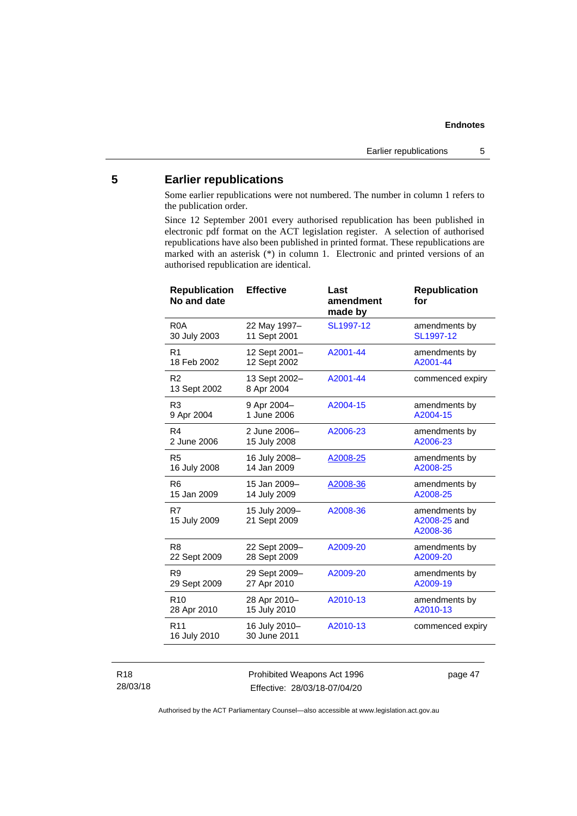## <span id="page-52-0"></span>**5 Earlier republications**

Some earlier republications were not numbered. The number in column 1 refers to the publication order.

Since 12 September 2001 every authorised republication has been published in electronic pdf format on the ACT legislation register. A selection of authorised republications have also been published in printed format. These republications are marked with an asterisk (\*) in column 1. Electronic and printed versions of an authorised republication are identical.

| <b>Republication</b><br>No and date | <b>Effective</b>              | Last<br>amendment<br>made by | <b>Republication</b><br>for               |
|-------------------------------------|-------------------------------|------------------------------|-------------------------------------------|
| R <sub>0</sub> A                    | 22 May 1997-                  | SL1997-12                    | amendments by                             |
| 30 July 2003                        | 11 Sept 2001                  |                              | SL1997-12                                 |
| R <sub>1</sub>                      | 12 Sept 2001-                 | A2001-44                     | amendments by                             |
| 18 Feb 2002                         | 12 Sept 2002                  |                              | A2001-44                                  |
| R <sub>2</sub><br>13 Sept 2002      | 13 Sept 2002-<br>8 Apr 2004   | A2001-44                     | commenced expiry                          |
| R <sub>3</sub>                      | 9 Apr 2004-                   | A2004-15                     | amendments by                             |
| 9 Apr 2004                          | 1 June 2006                   |                              | A2004-15                                  |
| R4                                  | 2 June 2006-                  | A2006-23                     | amendments by                             |
| 2 June 2006                         | 15 July 2008                  |                              | A2006-23                                  |
| R <sub>5</sub>                      | 16 July 2008-                 | A2008-25                     | amendments by                             |
| 16 July 2008                        | 14 Jan 2009                   |                              | A2008-25                                  |
| R <sub>6</sub>                      | 15 Jan 2009-                  | A2008-36                     | amendments by                             |
| 15 Jan 2009                         | 14 July 2009                  |                              | A2008-25                                  |
| R7<br>15 July 2009                  | 15 July 2009-<br>21 Sept 2009 | A2008-36                     | amendments by<br>A2008-25 and<br>A2008-36 |
| R <sub>8</sub>                      | 22 Sept 2009-                 | A2009-20                     | amendments by                             |
| 22 Sept 2009                        | 28 Sept 2009                  |                              | A2009-20                                  |
| R <sub>9</sub>                      | 29 Sept 2009-                 | A2009-20                     | amendments by                             |
| 29 Sept 2009                        | 27 Apr 2010                   |                              | A2009-19                                  |
| R <sub>10</sub>                     | 28 Apr 2010-                  | A2010-13                     | amendments by                             |
| 28 Apr 2010                         | 15 July 2010                  |                              | A2010-13                                  |
| R <sub>11</sub><br>16 July 2010     | 16 July 2010-<br>30 June 2011 | A2010-13                     | commenced expiry                          |
|                                     |                               |                              |                                           |

#### R18 28/03/18

Prohibited Weapons Act 1996 Effective: 28/03/18-07/04/20

page 47